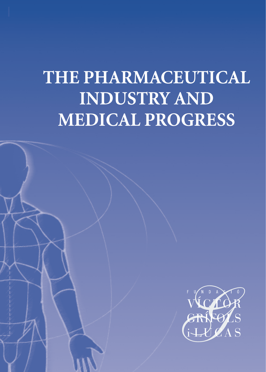# **THE PHARMACEUTICAL INDUSTRY AND MEDICAL PROGRESS**

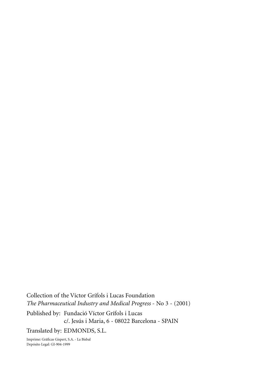Collection of the Víctor Grífols i Lucas Foundation *The Pharmaceutical Industry and Medical Progress* - No 3 - (2001) Published by: Fundació Víctor Grífols i Lucas c/. Jesús i Maria, 6 - 08022 Barcelona - SPAIN Translated by: EDMONDS, S.L.

Imprime: Gráficas Gispert, S.A. - La Bisbal Depósito Legal: GI-904-1999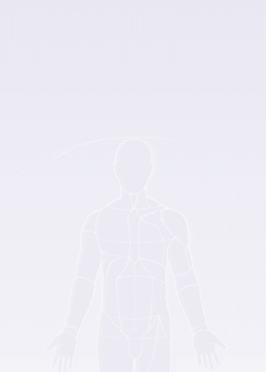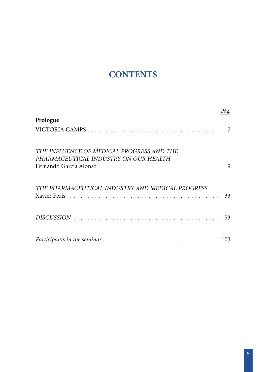### **CONTENTS**

|                                                  | Pág. |
|--------------------------------------------------|------|
| Prologue                                         |      |
|                                                  |      |
|                                                  |      |
| THE INFLUENCE OF MEDICAL PROGRESS AND THE        |      |
| PHARMACEUTICAL INDUSTRY ON OUR HEALTH            |      |
| Fernando García Alonso                           | 9    |
|                                                  |      |
| THE PHARMACEUTICAL INDUSTRY AND MEDICAL PROGRESS |      |
|                                                  | 33   |
|                                                  |      |
|                                                  | 53   |
|                                                  |      |
|                                                  |      |
|                                                  |      |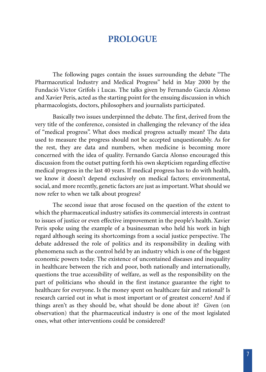### **PROLOGUE**

The following pages contain the issues surrounding the debate "The Pharmaceutical Industry and Medical Progress" held in May 2000 by the Fundació Víctor Grífols i Lucas. The talks given by Fernando García Alonso and Xavier Peris, acted as the starting point for the ensuing discussion in which pharmacologists, doctors, philosophers and journalists participated.

Basically two issues underpinned the debate. The first, derived from the very title of the conference, consisted in challenging the relevancy of the idea of "medical progress". What does medical progress actually mean? The data used to measure the progress should not be accepted unquestionably. As for the rest, they are data and numbers, when medicine is becoming more concerned with the idea of quality. Fernando García Alonso encouraged this discussion from the outset putting forth his own skepticism regarding effective medical progress in the last 40 years. If medical progress has to do with health, we know it doesn't depend exclusively on medical factors; environmental, social, and more recently, genetic factors are just as important. What should we now refer to when we talk about progress?

The second issue that arose focused on the question of the extent to which the pharmaceutical industry satisfies its commercial interests in contrast to issues of justice or even effective improvement in the people's health. Xavier Peris spoke using the example of a businessman who held his work in high regard although seeing its shortcomings from a social justice perspective. The debate addressed the role of politics and its responsibility in dealing with phenomena such as the control held by an industry which is one of the biggest economic powers today. The existence of uncontained diseases and inequality in healthcare between the rich and poor, both nationally and internationally, questions the true accessibility of welfare, as well as the responsibility on the part of politicians who should in the first instance guarantee the right to healthcare for everyone. Is the money spent on healthcare fair and rational? Is research carried out in what is most important or of greatest concern? And if things aren't as they should be, what should be done about it? Given (on observation) that the pharmaceutical industry is one of the most legislated ones, what other interventions could be considered?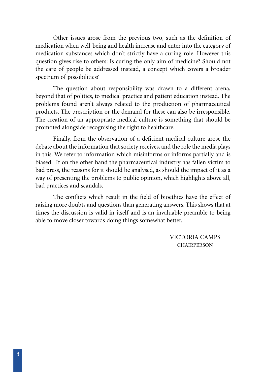Other issues arose from the previous two, such as the definition of medication when well-being and health increase and enter into the category of medication substances which don't strictly have a curing role. However this question gives rise to others: Is curing the only aim of medicine? Should not the care of people be addressed instead, a concept which covers a broader spectrum of possibilities?

The question about responsibility was drawn to a different arena, beyond that of politics, to medical practice and patient education instead. The problems found aren't always related to the production of pharmaceutical products. The prescription or the demand for these can also be irresponsible. The creation of an appropriate medical culture is something that should be promoted alongside recognising the right to healthcare.

Finally, from the observation of a deficient medical culture arose the debate about the information that society receives, and the role the media plays in this. We refer to information which misinforms or informs partially and is biased. If on the other hand the pharmaceutical industry has fallen victim to bad press, the reasons for it should be analysed, as should the impact of it as a way of presenting the problems to public opinion, which highlights above all, bad practices and scandals.

The conflicts which result in the field of bioethics have the effect of raising more doubts and questions than generating answers. This shows that at times the discussion is valid in itself and is an invaluable preamble to being able to move closer towards doing things somewhat better.

> VICTORIA CAMPS **CHAIRPERSON**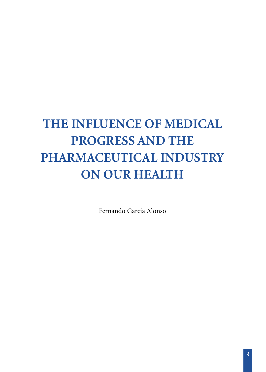# **THE INFLUENCE OF MEDICAL PROGRESS AND THE PHARMACEUTICAL INDUSTRY ON OUR HEALTH**

Fernando García Alonso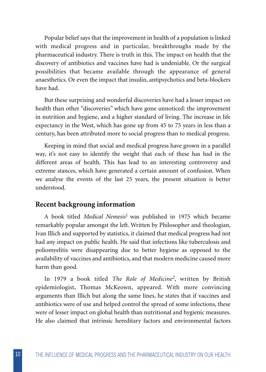Popular belief says that the improvement in health of a population is linked with medical progress and in particular, breakthroughs made by the pharmaceutical industry. There is truth in this. The impact on health that the discovery of antibiotics and vaccines have had is undeniable. Or the surgical possibilities that became available through the appearance of general anaesthetics. Or even the impact that insulin, antipsychotics and beta-blockers have had.

But these surprising and wonderful discoveries have had a lesser impact on health than other "discoveries" which have gone unnoticed: the improvement in nutrition and hygiene, and a higher standard of living. The increase in life expectancy in the West, which has gone up from 45 to 75 years in less than a century, has been attributed more to social progress than to medical progress.

Keeping in mind that social and medical progress have grown in a parallel way, it's not easy to identify the weight that each of these has had in the different areas of health. This has lead to an interesting controversy and extreme stances, which have generated a certain amount of confusion. When we analyse the events of the last 25 years, the present situation is better understood.

#### **Recent backgroung information**

A book titled *Medical Nemesis*1 was published in 1975 which became remarkably popular amongst the left. Written by Philosopher and theologian, Ivan Illich and supported by statistics, it claimed that medical progress had not had any impact on public health. He said that infections like tuberculosis and poliomyelitis were disappearing due to better hygiene as opposed to the availability of vaccines and antibiotics, and that modern medicine caused more harm than good.

In 1979 a book titled *The Role of Medicine2*, written by British epidemiologist, Thomas McKeown, appeared. With more convincing arguments than Illich but along the same lines, he states that if vaccines and antibiotics were of use and helped control the spread of some infections, these were of lesser impact on global health than nutritional and hygienic measures. He also claimed that intrinsic hereditary factors and environmental factors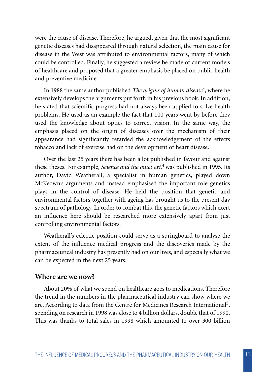were the cause of disease. Therefore, he argued, given that the most significant genetic diseases had disappeared through natural selection, the main cause for disease in the West was attributed to environmental factors, many of which could be controlled. Finally, he suggested a review be made of current models of healthcare and proposed that a greater emphasis be placed on public health and preventive medicine.

In 1988 the same author published *The origins of human disease*3, where he extensively develops the arguments put forth in his previous book. In addition, he stated that scientific progress had not always been applied to solve health problems. He used as an example the fact that 100 years went by before they used the knowledge about optics to correct vision. In the same way, the emphasis placed on the origin of diseases over the mechanism of their appearance had significantly retarded the acknowledgement of the effects tobacco and lack of exercise had on the development of heart disease.

Over the last 25 years there has been a lot published in favour and against these theses. For example, *Science and the quiet art*. 4 was published in 1995. Its author, David Weatherall, a specialist in human genetics, played down McKeown's arguments and instead emphasised the important role genetics plays in the control of disease. He held the position that genetic and environmental factors together with ageing has brought us to the present day spectrum of pathology. In order to combat this, the genetic factors which exert an influence here should be researched more extensively apart from just controlling environmental factors.

Weatherall's eclectic position could serve as a springboard to analyse the extent of the influence medical progress and the discoveries made by the pharmaceutical industry has presently had on our lives, and especially what we can be expected in the next 25 years.

#### **Where are we now?**

About 20% of what we spend on healthcare goes to medications. Therefore the trend in the numbers in the pharmaceutical industry can show where we are. According to data from the Centre for Medicines Research International<sup>5</sup>, spending on research in 1998 was close to 4 billion dollars, double that of 1990. This was thanks to total sales in 1998 which amounted to over 300 billion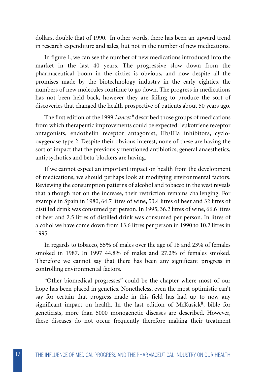dollars, double that of 1990. In other words, there has been an upward trend in research expenditure and sales, but not in the number of new medications.

In figure 1, we can see the number of new medications introduced into the market in the last 40 years. The progressive slow down from the pharmaceutical boom in the sixties is obvious, and now despite all the promises made by the biotechnology industry in the early eighties, the numbers of new molecules continue to go down. The progress in medications has not been held back, however they are failing to produce the sort of discoveries that changed the health prospective of patients about 50 years ago.

The first edition of the 1999 *Lancet* 6 described those groups of medications from which therapeutic improvements could be expected: leukotriene receptor antagonists, endothelin receptor antagonist, IIb/IIIa inhibitors, cyclooxygenase type 2. Despite their obvious interest, none of these are having the sort of impact that the previously mentioned antibiotics, general anaesthetics, antipsychotics and beta-blockers are having.

If we cannot expect an important impact on health from the development of medications, we should perhaps look at modifying environmental factors. Reviewing the consumption patterns of alcohol and tobacco in the west reveals that although not on the increase, their restriction remains challenging. For example in Spain in 1980, 64.7 litres of wine, 53.4 litres of beer and 32 litres of distilled drink was consumed per person. In 1995, 36.2 litres of wine, 66.6 litres of beer and 2.5 litres of distilled drink was consumed per person. In litres of alcohol we have come down from 13.6 litres per person in 1990 to 10.2 litres in 1995.

In regards to tobacco, 55% of males over the age of 16 and 23% of females smoked in 1987. In 1997 44.8% of males and 27.2% of females smoked. Therefore we cannot say that there has been any significant progress in controlling environmental factors.

"Other biomedical progresses" could be the chapter where most of our hope has been placed in genetics. Nonetheless, even the most optimistic can't say for certain that progress made in this field has had up to now any significant impact on health. In the last edition of McKusick $8$ , bible for geneticists, more than 5000 monogenetic diseases are described. However, these diseases do not occur frequently therefore making their treatment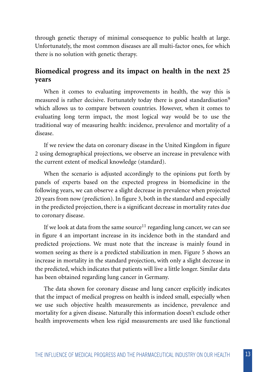through genetic therapy of minimal consequence to public health at large. Unfortunately, the most common diseases are all multi-factor ones, for which there is no solution with genetic therapy.

#### **Biomedical progress and its impact on health in the next 25 years**

When it comes to evaluating improvements in health, the way this is measured is rather decisive. Fortunately today there is good standardisation<sup>9</sup> which allows us to compare between countries. However, when it comes to evaluating long term impact, the most logical way would be to use the traditional way of measuring health: incidence, prevalence and mortality of a disease.

If we review the data on coronary disease in the United Kingdom in figure 2 using demographical projections, we observe an increase in prevalence with the current extent of medical knowledge (standard).

When the scenario is adjusted accordingly to the opinions put forth by panels of experts based on the expected progress in biomedicine in the following years, we can observe a slight decrease in prevalence when projected 20 years from now (prediction). In figure 3, both in the standard and especially in the predicted projection, there is a significant decrease in mortality rates due to coronary disease.

If we look at data from the same source<sup>11</sup> regarding lung cancer, we can see in figure 4 an important increase in its incidence both in the standard and predicted projections. We must note that the increase is mainly found in women seeing as there is a predicted stabilization in men. Figure 5 shows an increase in mortality in the standard projection, with only a slight decrease in the predicted, which indicates that patients will live a little longer. Similar data has been obtained regarding lung cancer in Germany.

The data shown for coronary disease and lung cancer explicitly indicates that the impact of medical progress on health is indeed small, especially when we use such objective health measurements as incidence, prevalence and mortality for a given disease. Naturally this information doesn't exclude other health improvements when less rigid measurements are used like functional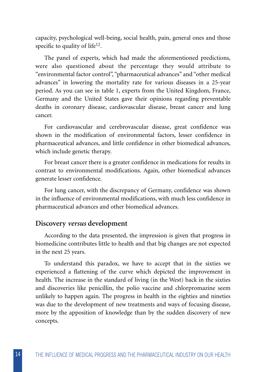capacity, psychological well-being, social health, pain, general ones and those specific to quality of life<sup>12</sup>.

The panel of experts, which had made the aforementioned predictions, were also questioned about the percentage they would attribute to "environmental factor control", "pharmaceutical advances" and "other medical advances" in lowering the mortality rate for various diseases in a 25-year period. As you can see in table 1, experts from the United Kingdom, France, Germany and the United States gave their opinions regarding preventable deaths in coronary disease, cardiovascular disease, breast cancer and lung cancer.

For cardiovascular and cerebrovascular disease, great confidence was shown in the modification of environmental factors, lesser confidence in pharmaceutical advances, and little confidence in other biomedical advances, which include genetic therapy.

For breast cancer there is a greater confidence in medications for results in contrast to environmental modifications. Again, other biomedical advances generate lesser confidence.

For lung cancer, with the discrepancy of Germany, confidence was shown in the influence of environmental modifications, with much less confidence in pharmaceutical advances and other biomedical advances.

#### **Discovery** *versus* **development**

According to the data presented, the impression is given that progress in biomedicine contributes little to health and that big changes are not expected in the next 25 years.

To understand this paradox, we have to accept that in the sixties we experienced a flattening of the curve which depicted the improvement in health. The increase in the standard of living (in the West) back in the sixties and discoveries like penicillin, the polio vaccine and chlorpromazine seem unlikely to happen again. The progress in health in the eighties and nineties was due to the development of new treatments and ways of focusing disease, more by the apposition of knowledge than by the sudden discovery of new concepts.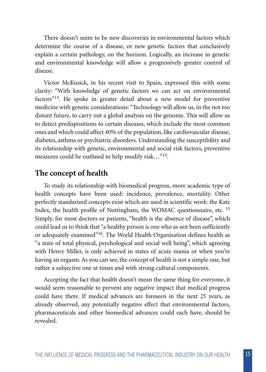There doesn't seem to be new discoveries in environmental factors which determine the course of a disease, or new genetic factors that conclusively explain a certain pathology, on the horizon. Logically, an increase in genetic and environmental knowledge will allow a progressively greater control of disease.

Victor McKusick, in his recent visit to Spain, expressed this with some clarity: "With knowledge of genetic factors we can act on environmental factors"13. He spoke in greater detail about a new model for preventive medicine with genetic considerations: "Technology will allow us, in the not too distant future, to carry out a global analysis on the genome. This will allow us to detect predispositions to certain diseases, which include the most common ones and which could affect 40% of the population, like cardiovascular disease, diabetes, asthma or psychiatric disorders. Understanding the susceptibility and its relationship with genetic, environmental and social risk factors, preventive measures could be outlined to help modify risk..."<sup>14</sup>.

#### **The concept of health**

To study its relationship with biomedical progress, more academic type of health concepts have been used: incidence, prevalence, mortality. Other perfectly standarized concepts exist which are used in scientific work: the Katz Index, the health profile of Nottingham, the WOMAC questionnaire, etc. <sup>15</sup> Simply, for most doctors or patients, "health is the absence of disease", which could lead us to think that "a healthy person is one who as not been sufficiently or adequately examined"<sup>16</sup>. The World Health Organisation defines health as "a state of total physical, psychological and social well being", which agreeing with Henry Miller, is only achieved in states of acute mania or when you're having an orgasm. As you can see, the concept of health is not a simple one, but rather a subjective one at times and with strong cultural components.

Accepting the fact that health doesn't mean the same thing for everyone, it would seem reasonable to prevent any negative impact that medical progress could have there. If medical advances are foreseen in the next 25 years, as already observed, any potentially negative effect that environmental factors, pharmaceuticals and other biomedical advances could each have, should be revealed.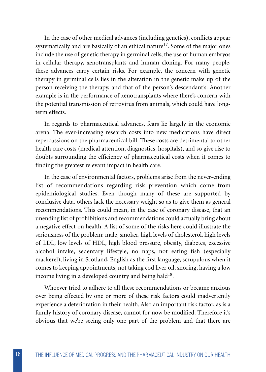In the case of other medical advances (including genetics), conflicts appear systematically and are basically of an ethical nature<sup>17</sup>. Some of the major ones include the use of genetic therapy in germinal cells, the use of human embryos in cellular therapy, xenotransplants and human cloning. For many people, these advances carry certain risks. For example, the concern with genetic therapy in germinal cells lies in the alteration in the genetic make up of the person receiving the therapy, and that of the person's descendant's. Another example is in the performance of xenotransplants where there's concern with the potential transmission of retrovirus from animals, which could have longterm effects.

In regards to pharmaceutical advances, fears lie largely in the economic arena. The ever-increasing research costs into new medications have direct repercussions on the pharmaceutical bill. These costs are detrimental to other health care costs (medical attention, diagnostics, hospitals), and so give rise to doubts surrounding the efficiency of pharmaceutical costs when it comes to finding the greatest relevant impact in health care.

In the case of environmental factors, problems arise from the never-ending list of recommendations regarding risk prevention which come from epidemiological studies. Even though many of these are supported by conclusive data, others lack the necessary weight so as to give them as general recommendations. This could mean, in the case of coronary disease, that an unending list of prohibitions and recommendations could actually bring about a negative effect on health. A list of some of the risks here could illustrate the seriousness of the problem: male, smoker, high levels of cholesterol, high levels of LDL, low levels of HDL, high blood pressure, obesity, diabetes, excessive alcohol intake, sedentary lifestyle, no naps, not eating fish (especially mackerel), living in Scotland, English as the first language, scrupulous when it comes to keeping appointments, not taking cod liver oil, snoring, having a low income living in a developed country and being bald $18$ .

Whoever tried to adhere to all these recommendations or became anxious over being effected by one or more of these risk factors could inadvertently experience a deterioration in their health. Also an important risk factor, as is a family history of coronary disease, cannot for now be modified. Therefore it's obvious that we're seeing only one part of the problem and that there are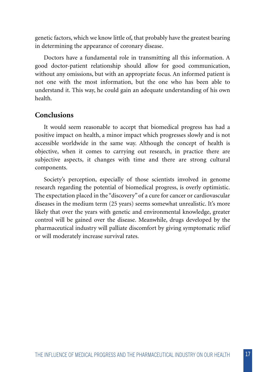genetic factors, which we know little of**,** that probably have the greatest bearing in determining the appearance of coronary disease.

Doctors have a fundamental role in transmitting all this information. A good doctor-patient relationship should allow for good communication, without any omissions, but with an appropriate focus. An informed patient is not one with the most information, but the one who has been able to understand it. This way, he could gain an adequate understanding of his own health.

#### **Conclusions**

It would seem reasonable to accept that biomedical progress has had a positive impact on health, a minor impact which progresses slowly and is not accessible worldwide in the same way. Although the concept of health is objective, when it comes to carrying out research, in practice there are subjective aspects, it changes with time and there are strong cultural components.

Society's perception, especially of those scientists involved in genome research regarding the potential of biomedical progress, is overly optimistic. The expectation placed in the "discovery" of a cure for cancer or cardiovascular diseases in the medium term (25 years) seems somewhat unrealistic. It's more likely that over the years with genetic and environmental knowledge, greater control will be gained over the disease. Meanwhile, drugs developed by the pharmaceutical industry will palliate discomfort by giving symptomatic relief or will moderately increase survival rates.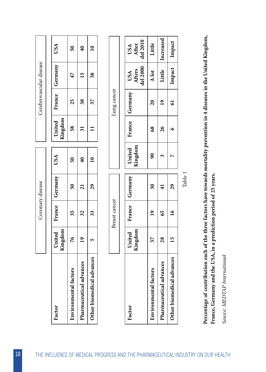| Percentage of contribution each of the three factors have towards mortality prevention in 4 diseases in the United Kingdom,<br>Increased<br>del 2010<br>Impact<br>Little<br>After<br>USA<br>50<br>$\overline{10}$<br>$\overline{40}$<br>Germany<br>del 2000<br>Impact<br>Afters<br>Little<br>A lot<br>USA<br>15<br>38<br>47<br>Lung cancer<br>Germany<br>France<br>25<br>38<br>37<br>$\overline{19}$<br>$\overline{a}$<br>$\overline{6}$<br>Kingdom<br>France<br>United<br>58<br>68<br>$\frac{26}{5}$<br>$\overline{\mathbf{31}}$<br>$\mathbf{I}$<br>$\bullet$<br>Kingdom<br>United<br>$\mathbf{g}$<br>S<br>$\overline{a}$<br>USA<br>$\overline{10}$<br>50<br>$\overline{\mathbf{a}}$<br>France, Germany and the USA, in a prediction period of 25 years.<br>Table:<br>Germany<br>Germany<br>29<br>50<br>29<br>30<br>$\overline{21}$<br>$\overline{4}$<br>Breast cancer<br>France<br>France<br>$\overline{16}$<br>35<br>32<br>33<br>$\overline{a}$<br>65<br>Kingdom<br>Kingdom<br>United<br>United<br>76<br>$\overline{19}$<br>28<br>15<br>57<br>in,<br>Other biomedical advances<br>Other biomedical advances<br>Pharmaceutical advances<br>Pharmaceutical advances<br>Environmental factors<br>Environmental factors<br>Factor<br>Factor |  | Coronary disease |  | Cerebrovascular disease |     |
|--------------------------------------------------------------------------------------------------------------------------------------------------------------------------------------------------------------------------------------------------------------------------------------------------------------------------------------------------------------------------------------------------------------------------------------------------------------------------------------------------------------------------------------------------------------------------------------------------------------------------------------------------------------------------------------------------------------------------------------------------------------------------------------------------------------------------------------------------------------------------------------------------------------------------------------------------------------------------------------------------------------------------------------------------------------------------------------------------------------------------------------------------------------------------------------------------------------------------------------------|--|------------------|--|-------------------------|-----|
|                                                                                                                                                                                                                                                                                                                                                                                                                                                                                                                                                                                                                                                                                                                                                                                                                                                                                                                                                                                                                                                                                                                                                                                                                                            |  |                  |  |                         | USA |
|                                                                                                                                                                                                                                                                                                                                                                                                                                                                                                                                                                                                                                                                                                                                                                                                                                                                                                                                                                                                                                                                                                                                                                                                                                            |  |                  |  |                         |     |
|                                                                                                                                                                                                                                                                                                                                                                                                                                                                                                                                                                                                                                                                                                                                                                                                                                                                                                                                                                                                                                                                                                                                                                                                                                            |  |                  |  |                         |     |
|                                                                                                                                                                                                                                                                                                                                                                                                                                                                                                                                                                                                                                                                                                                                                                                                                                                                                                                                                                                                                                                                                                                                                                                                                                            |  |                  |  |                         |     |
|                                                                                                                                                                                                                                                                                                                                                                                                                                                                                                                                                                                                                                                                                                                                                                                                                                                                                                                                                                                                                                                                                                                                                                                                                                            |  |                  |  |                         |     |
|                                                                                                                                                                                                                                                                                                                                                                                                                                                                                                                                                                                                                                                                                                                                                                                                                                                                                                                                                                                                                                                                                                                                                                                                                                            |  |                  |  |                         |     |
|                                                                                                                                                                                                                                                                                                                                                                                                                                                                                                                                                                                                                                                                                                                                                                                                                                                                                                                                                                                                                                                                                                                                                                                                                                            |  |                  |  |                         |     |
|                                                                                                                                                                                                                                                                                                                                                                                                                                                                                                                                                                                                                                                                                                                                                                                                                                                                                                                                                                                                                                                                                                                                                                                                                                            |  |                  |  |                         |     |
|                                                                                                                                                                                                                                                                                                                                                                                                                                                                                                                                                                                                                                                                                                                                                                                                                                                                                                                                                                                                                                                                                                                                                                                                                                            |  |                  |  |                         |     |
|                                                                                                                                                                                                                                                                                                                                                                                                                                                                                                                                                                                                                                                                                                                                                                                                                                                                                                                                                                                                                                                                                                                                                                                                                                            |  |                  |  |                         |     |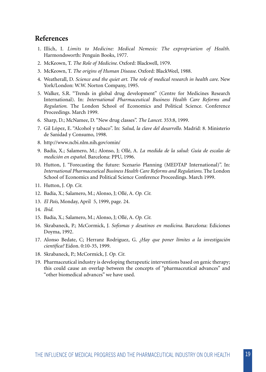#### **References**

- 1. Illich, I. *Limits to Medicine: Medical Nemesis: The expropriation of Health.* Harmondsworth: Penguin Books, 1977.
- 2. McKeown, T. *The Role of Medicine*. Oxford: Blackwell, 1979.
- 3. McKeown, T. *The origins of Human Disease*. Oxford: BlackWeel, 1988.
- 4. Weatherall, D. *Science and the quiet art. The role of medical research in health care*. New York/London: W.W. Norton Company, 1995.
- 5. Walker, S.R. "Trends in global drug development" (Centre for Medicines Research International). In: *International Pharmaceutical Business Health Care Reforms and Regulation*. The London School of Economics and Political Science. Conference Proceedings. March 1999.
- 6. Sharp, D.; McNamee, D. "New drug classes". *The Lancet*. 353:8, 1999.
- 7. Gil López, E. "Alcohol y tabaco". In: *Salud, la clave del desarrollo.* Madrid: 8. Ministerio de Sanidad y Consumo, 1998.
- 8. http://www.ncbi.nlm.nih.gov/omin/
- 9. Badía, X.; Salamero, M.; Alonso, J; Ollé, A. *La medida de la salud: Guía de escalas de medición en español*. Barcelona: PPU, 1996.
- 10. Hutton, J. "Forecasting the future: Scenario Planning (MEDTAP International)". In: *International Pharmaceutical Business Health Care Reforms and Regulations*. The London School of Economics and Political Science Conference Proceedings. March 1999.
- 11. Hutton, J. *Op. Cit.*
- 12. Badía, X.; Salamero, M.; Alonso, J; Ollé, A. *Op. Cit.*
- 13. *El País*, Monday, April 5, 1999, page. 24.
- 14. *Ibid.*
- 15. Badía, X.; Salamero, M.; Alonso, J; Ollé, A. *Op. Cit.*
- 16. Skrabaneck, P.; McCormick, J. *Sofismas y desatinos en medicina*. Barcelona: Ediciones Doyma, 1992.
- 17. Alonso Bedate, C; Herranz Rodriguez, G. *¿Hay que poner límites a la investigación científica?* Eidon. 0:10-35, 1999.
- 18. Skrabaneck, P.; McCormick, J. *Op. Cit.*
- 19. Pharmaceutical industry is developing therapeutic interventions based on genic therapy; this could cause an overlap between the concepts of "pharmaceutical advances" and "other biomedical advances" we have used.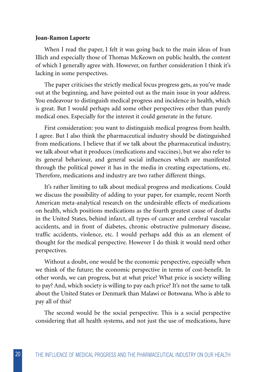#### **Joan-Ramon Laporte**

When I read the paper, I felt it was going back to the main ideas of Ivan Illich and especially those of Thomas McKeown on public health, the content of which I generally agree with. However, on further consideration I think it's lacking in some perspectives.

The paper criticises the strictly medical focus progress gets, as you've made out at the beginning, and have pointed out as the main issue in your address. You endeavour to distinguish medical progress and incidence in health, which is great. But I would perhaps add some other perspectives other than purely medical ones. Especially for the interest it could generate in the future.

First consideration: you want to distinguish medical progress from health. I agree. But I also think the pharmaceutical industry should be distinguished from medications. I believe that if we talk about the pharmaceutical industry, we talk about what it produces (medications and vaccines), but we also refer to its general behaviour, and general social influences which are manifested through the political power it has in the media in creating expectations, etc. Therefore, medications and industry are two rather different things.

It's rather limiting to talk about medical progress and medications. Could we discuss the possibility of adding to your paper, for example, recent North American meta-analytical research on the undesirable effects of medications on health, which positions medications as the fourth greatest cause of deaths in the United States, behind infarct, all types of cancer and cerebral vascular accidents, and in front of diabetes, chronic obstructive pulmonary disease, traffic accidents, violence, etc. I would perhaps add this as an element of thought for the medical perspective. However I do think it would need other perspectives.

Without a doubt, one would be the economic perspective, especially when we think of the future; the economic perspective in terms of cost-benefit. In other words, we can progress, but at what price? What price is society willing to pay? And, which society is willing to pay each price? It's not the same to talk about the United States or Denmark than Malawi or Botswana. Who is able to pay all of this?

The second would be the social perspective. This is a social perspective considering that all health systems, and not just the use of medications, have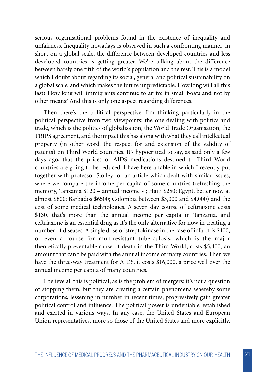serious organisational problems found in the existence of inequality and unfairness. Inequality nowadays is observed in such a confronting manner, in short on a global scale, the difference between developed countries and less developed countries is getting greater. We're talking about the difference between barely one fifth of the world's population and the rest. This is a model which I doubt about regarding its social, general and political sustainability on a global scale, and which makes the future unpredictable. How long will all this last? How long will immigrants continue to arrive in small boats and not by other means? And this is only one aspect regarding differences.

Then there's the political perspective. I'm thinking particularly in the political perspective from two viewpoints: the one dealing with politics and trade, which is the politics of globalisation, the World Trade Organisation, the TRIPS agreement, and the impact this has along with what they call intellectual property (in other word, the respect for and extension of the validity of patents) on Third World countries. It's hypocritical to say, as said only a few days ago, that the prices of AIDS medications destined to Third World countries are going to be reduced. I have here a table in which I recently put together with professor Stolley for an article which dealt with similar issues, where we compare the income per capita of some countries (refreshing the memory, Tanzania \$120 – annual income - ; Haiti \$250; Egypt, better now at almost \$800; Barbados \$6500; Colombia between \$3,000 and \$4,000) and the cost of some medical technologies. A seven day course of ceftriaxone costs \$130, that's more than the annual income per capita in Tanzania, and ceftriaxone is an essential drug as it's the only alternative for now in treating a number of diseases. A single dose of streptokinase in the case of infarct is \$400, or even a course for multiresistant tuberculosis, which is the major theoretically preventable cause of death in the Third World, costs \$5,400, an amount that can't be paid with the annual income of many countries. Then we have the three-way treatment for AIDS, it costs \$16,000, a price well over the annual income per capita of many countries.

I believe all this is political, as is the problem of mergers: it's not a question of stopping them, but they are creating a certain phenomena whereby some corporations, lessening in number in recent times, progressively gain greater political control and influence. The political power is undeniable, established and exerted in various ways. In any case, the United States and European Union representatives, more so those of the United States and more explicitly,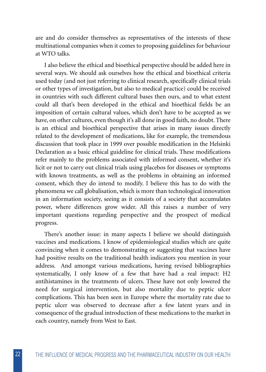are and do consider themselves as representatives of the interests of these multinational companies when it comes to proposing guidelines for behaviour at WTO talks.

I also believe the ethical and bioethical perspective should be added here in several ways. We should ask ourselves how the ethical and bioethical criteria used today (and not just referring to clinical research, specifically clinical trials or other types of investigation, but also to medical practice) could be received in countries with such different cultural bases then ours, and to what extent could all that's been developed in the ethical and bioethical fields be an imposition of certain cultural values, which don't have to be accepted as we have, on other cultures, even though it's all done in good faith, no doubt. There is an ethical and bioethical perspective that arises in many issues directly related to the development of medications, like for example, the tremendous discussion that took place in 1999 over possible modification in the Helsinki Declaration as a basic ethical guideline for clinical trials. These modifications refer mainly to the problems associated with informed consent, whether it's licit or not to carry out clinical trials using placebos for diseases or symptoms with known treatments, as well as the problems in obtaining an informed consent, which they do intend to modify. I believe this has to do with the phenomena we call globalisation, which is more than technological innovation in an information society, seeing as it consists of a society that accumulates power, where differences grow wider. All this raises a number of very important questions regarding perspective and the prospect of medical progress.

There's another issue: in many aspects I believe we should distinguish vaccines and medications. I know of epidemiological studies which are quite convincing when it comes to demonstrating or suggesting that vaccines have had positive results on the traditional health indicators you mention in your address. And amongst various medications, having revised bibliographies systematically, I only know of a few that have had a real impact: H2 antihistamines in the treatments of ulcers. These have not only lowered the need for surgical intervention, but also mortality due to peptic ulcer complications. This has been seen in Europe where the mortality rate due to peptic ulcer was observed to decrease after a few latent years and in consequence of the gradual introduction of these medications to the market in each country, namely from West to East.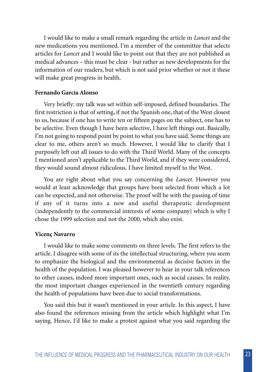I would like to make a small remark regarding the article in *Lancet* and the new medications you mentioned. I'm a member of the committee that selects articles for *Lancet* and I would like to point out that they are not published as medical advances – this must be clear - but rather as new developments for the information of our readers, but which is not said prior whether or not it these will make great progress in health.

#### **Fernando García Alonso**

Very briefly: my talk was set within self-imposed, defined boundaries. The first restriction is that of setting, if not the Spanish one, that of the West closest to us, because if one has to write ten or fifteen pages on the subject, one has to be selective. Even though I have been selective, I have left things out. Basically, I'm not going to respond point by point to what you have said. Some things are clear to me, others aren't so much. However, I would like to clarify that I purposely left out all issues to do with the Third World. Many of the concepts I mentioned aren't applicable to the Third World, and if they were considered, they would sound almost ridiculous. I have limited myself to the West.

You are right about what you say concerning the *Lancet.* However you would at least acknowledge that groups have been selected from which a lot can be expected, and not otherwise. The proof will be with the passing of time if any of it turns into a new and useful therapeutic development (independently to the commercial interests of some company) which is why I chose the 1999 selection and not the 2000, which also exist.

#### **Vicenç Navarro**

I would like to make some comments on three levels. The first refers to the article. I disagree with some of its the intellectual structuring, where you seem to emphasize the biological and the environmental as decisive factors in the health of the population. I was pleased however to hear in your talk references to other causes, indeed more important ones, such as social causes. In reality, the most important changes experienced in the twentieth century regarding the health of populations have been due to social transformations.

You said this but it wasn't mentioned in your article. In this aspect, I have also found the references missing from the article which highlight what I'm saying. Hence, I'd like to make a protest against what you said regarding the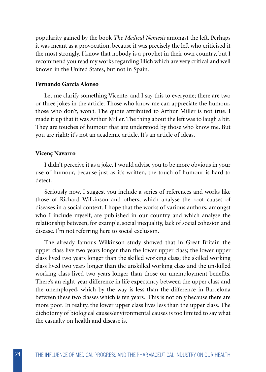popularity gained by the book *The Medical Nemesis* amongst the left. Perhaps it was meant as a provocation, because it was precisely the left who criticised it the most strongly. I know that nobody is a prophet in their own country, but I recommend you read my works regarding Illich which are very critical and well known in the United States, but not in Spain.

#### **Fernando García Alonso**

Let me clarify something Vicente, and I say this to everyone; there are two or three jokes in the article. Those who know me can appreciate the humour, those who don't, won't. The quote attributed to Arthur Miller is not true. I made it up that it was Arthur Miller. The thing about the left was to laugh a bit. They are touches of humour that are understood by those who know me. But you are right; it's not an academic article. It's an article of ideas.

#### **Vicenç Navarro**

I didn't perceive it as a joke. I would advise you to be more obvious in your use of humour, because just as it's written, the touch of humour is hard to detect.

Seriously now, I suggest you include a series of references and works like those of Richard Wilkinson and others, which analyse the root causes of diseases in a social context. I hope that the works of various authors, amongst who I include myself, are published in our country and which analyse the relationship between, for example, social inequality, lack of social cohesion and disease. I'm not referring here to social exclusion.

The already famous Wilkinson study showed that in Great Britain the upper class live two years longer than the lower upper class; the lower upper class lived two years longer than the skilled working class; the skilled working class lived two years longer than the unskilled working class and the unskilled working class lived two years longer than those on unemployment benefits. There's an eight-year difference in life expectancy between the upper class and the unemployed, which by the way is less than the difference in Barcelona between these two classes which is ten years. This is not only because there are more poor. In reality, the lower upper class lives less than the upper class. The dichotomy of biological causes/environmental causes is too limited to say what the casualty on health and disease is.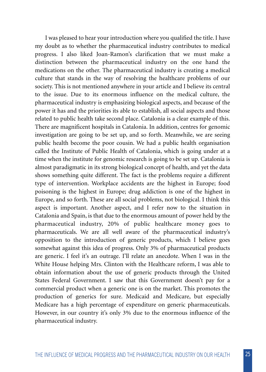I was pleased to hear your introduction where you qualified the title. I have my doubt as to whether the pharmaceutical industry contributes to medical progress. I also liked Joan-Ramon's clarification that we must make a distinction between the pharmaceutical industry on the one hand the medications on the other. The pharmaceutical industry is creating a medical culture that stands in the way of resolving the healthcare problems of our society. This is not mentioned anywhere in your article and I believe its central to the issue. Due to its enormous influence on the medical culture, the pharmaceutical industry is emphasizing biological aspects, and because of the power it has and the priorities its able to establish, all social aspects and those related to public health take second place. Catalonia is a clear example of this. There are magnificent hospitals in Catalonia. In addition, centres for genomic investigation are going to be set up, and so forth. Meanwhile, we are seeing public health become the poor cousin. We had a public health organisation called the Institute of Public Health of Catalonia, which is going under at a time when the institute for genomic research is going to be set up. Catalonia is almost paradigmatic in its strong biological concept of health, and yet the data shows something quite different. The fact is the problems require a different type of intervention. Workplace accidents are the highest in Europe; food poisoning is the highest in Europe; drug addiction is one of the highest in Europe, and so forth. These are all social problems, not biological. I think this aspect is important. Another aspect, and I refer now to the situation in Catalonia and Spain, is that due to the enormous amount of power held by the pharmaceutical industry, 20% of public healthcare money goes to pharmaceuticals. We are all well aware of the pharmaceutical industry's opposition to the introduction of generic products, which I believe goes somewhat against this idea of progress. Only 3% of pharmaceutical products are generic. I feel it's an outrage. I'll relate an anecdote. When I was in the White House helping Mrs. Clinton with the Healthcare reform, I was able to obtain information about the use of generic products through the United States Federal Government. I saw that this Government doesn't pay for a commercial product when a generic one is on the market. This promotes the production of generics for sure. Medicaid and Medicare, but especially Medicare has a high percentage of expenditure on generic pharmaceuticals. However, in our country it's only 3% due to the enormous influence of the pharmaceutical industry.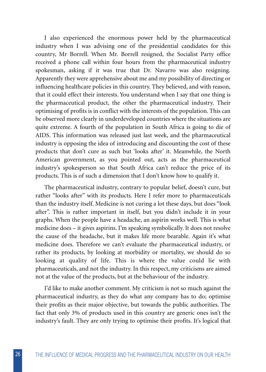I also experienced the enormous power held by the pharmaceutical industry when I was advising one of the presidential candidates for this country, Mr Borrell. When Mr. Borrell resigned, the Socialist Party office received a phone call within four hours from the pharmaceutical industry spokesman, asking if it was true that Dr. Navarro was also resigning. Apparently they were apprehensive about me and my possibility of directing or influencing healthcare policies in this country. They believed, and with reason, that it could effect their interests. You understand when I say that one thing is the pharmaceutical product, the other the pharmaceutical industry. Their optimising of profits is in conflict with the interests of the population. This can be observed more clearly in underdeveloped countries where the situations are quite extreme. A fourth of the population in South Africa is going to die of AIDS. This information was released just last week, and the pharmaceutical industry is opposing the idea of introducing and discounting the cost of these products that don't cure as such but 'looks after' it. Meanwhile, the North American government, as you pointed out, acts as the pharmaceutical industry's spokesperson so that South Africa can't reduce the price of its products. This is of such a dimension that I don't know how to qualify it.

The pharmaceutical industry, contrary to popular belief, doesn't cure, but rather "looks after" with its products. Here I refer more to pharmaceuticals than the industry itself. Medicine is not curing a lot these days, but does "look after". This is rather important in itself, but you didn't include it in your graphs. When the people have a headache, an aspirin works well. This is what medicine does – it gives aspirins. I'm speaking symbolically. It does not resolve the cause of the headache, but it makes life more bearable. Again it's what medicine does. Therefore we can't evaluate the pharmaceutical industry, or rather its products, by looking at morbidity or mortality, we should do so looking at quality of life. This is where the value could lie with pharmaceuticals, and not the industry. In this respect, my criticisms are aimed not at the value of the products, but at the behaviour of the industry.

I'd like to make another comment. My criticism is not so much against the pharmaceutical industry, as they do what any company has to do; optimise their profits as their major objective, but towards the public authorities. The fact that only 3% of products used in this country are generic ones isn't the industry's fault. They are only trying to optimise their profits. It's logical that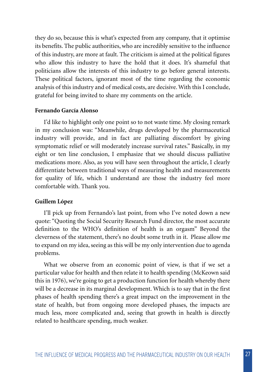they do so, because this is what's expected from any company, that it optimise its benefits. The public authorities, who are incredibly sensitive to the influence of this industry, are more at fault. The criticism is aimed at the political figures who allow this industry to have the hold that it does. It's shameful that politicians allow the interests of this industry to go before general interests. These political factors, ignorant most of the time regarding the economic analysis of this industry and of medical costs, are decisive. With this I conclude, grateful for being invited to share my comments on the article.

#### **Fernando García Alonso**

I'd like to highlight only one point so to not waste time. My closing remark in my conclusion was: "Meanwhile, drugs developed by the pharmaceutical industry will provide, and in fact are palliating discomfort by giving symptomatic relief or will moderately increase survival rates." Basically, in my eight or ten line conclusion, I emphasize that we should discuss palliative medications more. Also, as you will have seen throughout the article, I clearly differentiate between traditional ways of measuring health and measurements for quality of life, which I understand are those the industry feel more comfortable with. Thank you.

#### **Guillem López**

I'll pick up from Fernando's last point, from who I've noted down a new quote: "Quoting the Social Security Research Fund director, the most accurate definition to the WHO's definition of health is an orgasm" Beyond the cleverness of the statement, there's no doubt some truth in it. Please allow me to expand on my idea, seeing as this will be my only intervention due to agenda problems.

What we observe from an economic point of view, is that if we set a particular value for health and then relate it to health spending (McKeown said this in 1976), we're going to get a production function for health whereby there will be a decrease in its marginal development. Which is to say that in the first phases of health spending there's a great impact on the improvement in the state of health, but from ongoing more developed phases, the impacts are much less, more complicated and, seeing that growth in health is directly related to healthcare spending, much weaker.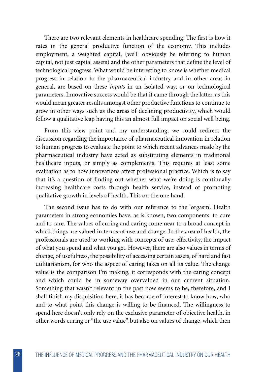There are two relevant elements in healthcare spending. The first is how it rates in the general productive function of the economy. This includes employment, a weighted capital, (we'll obviously be referring to human capital, not just capital assets) and the other parameters that define the level of technological progress. What would be interesting to know is whether medical progress in relation to the pharmaceutical industry and in other areas in general, are based on these *inputs* in an isolated way, or on technological parameters. Innovative success would be that it came through the latter, as this would mean greater results amongst other productive functions to continue to grow in other ways such as the areas of declining productivity, which would follow a qualitative leap having this an almost full impact on social well being.

From this view point and my understanding, we could redirect the discussion regarding the importance of pharmaceutical innovation in relation to human progress to evaluate the point to which recent advances made by the pharmaceutical industry have acted as substituting elements in traditional healthcare inputs, or simply as complements. This requires at least some evaluation as to how innovations affect professional practice. Which is to say that it's a question of finding out whether what we're doing is continually increasing healthcare costs through health service, instead of promoting qualitative growth in levels of health. This on the one hand.

The second issue has to do with our reference to the 'orgasm'. Health parameters in strong economies have, as is known, two components: to cure and to care. The values of curing and caring come near to a broad concept in which things are valued in terms of use and change. In the area of health, the professionals are used to working with concepts of use: effectivity, the impact of what you spend and what you get. However, there are also values in terms of change, of usefulness, the possibility of accessing certain assets, of hard and fast utilitarianism, for who the aspect of caring takes on all its value. The change value is the comparison I'm making, it corresponds with the caring concept and which could be in someway overvalued in our current situation. Something that wasn't relevant in the past now seems to be, therefore, and I shall finish my disquisition here, it has become of interest to know how, who and to what point this change is willing to be financed. The willingness to spend here doesn't only rely on the exclusive parameter of objective health, in other words curing or "the use value", but also on values of change, which then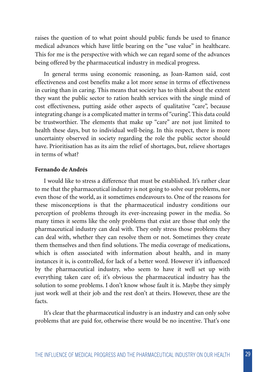raises the question of to what point should public funds be used to finance medical advances which have little bearing on the "use value" in healthcare. This for me is the perspective with which we can regard some of the advances being offered by the pharmaceutical industry in medical progress.

In general terms using economic reasoning, as Joan-Ramon said, cost effectiveness and cost benefits make a lot more sense in terms of effectiveness in curing than in caring. This means that society has to think about the extent they want the public sector to ration health services with the single mind of cost effectiveness, putting aside other aspects of qualitative "care", because integrating change is a complicated matter in terms of "curing". This data could be trustworthier. The elements that make up "care" are not just limited to health these days, but to individual well-being. In this respect, there is more uncertainty observed in society regarding the role the public sector should have. Prioritisation has as its aim the relief of shortages, but, relieve shortages in terms of what?

#### **Fernando de Andrés**

I would like to stress a difference that must be established. It's rather clear to me that the pharmaceutical industry is not going to solve our problems, nor even those of the world, as it sometimes endeavours to. One of the reasons for these misconceptions is that the pharmaceutical industry conditions our perception of problems through its ever-increasing power in the media. So many times it seems like the only problems that exist are those that only the pharmaceutical industry can deal with. They only stress those problems they can deal with, whether they can resolve them or not. Sometimes they create them themselves and then find solutions. The media coverage of medications, which is often associated with information about health, and in many instances it is, is controlled, for lack of a better word. However it's influenced by the pharmaceutical industry, who seem to have it well set up with everything taken care of; it's obvious the pharmaceutical industry has the solution to some problems. I don't know whose fault it is. Maybe they simply just work well at their job and the rest don't at theirs. However, these are the facts.

It's clear that the pharmaceutical industry is an industry and can only solve problems that are paid for, otherwise there would be no incentive. That's one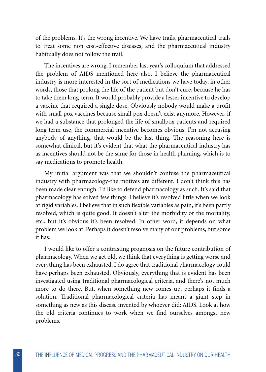of the problems. It's the wrong incentive. We have trails, pharmaceutical trails to treat some non cost-effective diseases, and the pharmaceutical industry habitually does not follow the trail.

The incentives are wrong. I remember last year's colloquium that addressed the problem of AIDS mentioned here also. I believe the pharmaceutical industry is more interested in the sort of medications we have today, in other words, those that prolong the life of the patient but don't cure, because he has to take them long-term. It would probably provide a lesser incentive to develop a vaccine that required a single dose. Obviously nobody would make a profit with small pox vaccines because small pox doesn't exist anymore. However, if we had a substance that prolonged the life of smallpox patients and required long term use, the commercial incentive becomes obvious. I'm not accusing anybody of anything, that would be the last thing. The reasoning here is somewhat clinical, but it's evident that what the pharmaceutical industry has as incentives should not be the same for those in health planning, which is to say medications to promote health.

My initial argument was that we shouldn't confuse the pharmaceutical industry with pharmacology-the motives are different. I don't think this has been made clear enough. I'd like to defend pharmacology as such. It's said that pharmacology has solved few things. I believe it's resolved little when we look at rigid variables. I believe that in such flexible variables as pain, it's been partly resolved, which is quite good. It doesn't alter the morbidity or the mortality, etc., but it's obvious it's been resolved. In other word, it depends on what problem we look at. Perhaps it doesn't resolve many of our problems, but some it has.

I would like to offer a contrasting prognosis on the future contribution of pharmacology. When we get old, we think that everything is getting worse and everything has been exhausted. I do agree that traditional pharmacology could have perhaps been exhausted. Obviously, everything that is evident has been investigated using traditional pharmacological criteria, and there's not much more to do there. But, when something new comes up, perhaps it finds a solution. Traditional pharmacological criteria has meant a giant step in something as new as this disease invented by whoever did: AIDS. Look at how the old criteria continues to work when we find ourselves amongst new problems.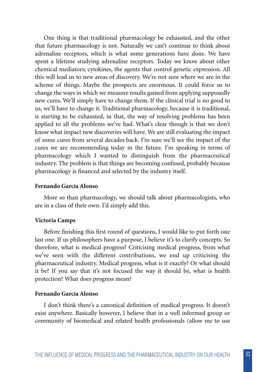One thing is that traditional pharmacology be exhausted, and the other that future pharmacology is not. Naturally we can't continue to think about adrenaline receptors, which is what some generations have done. We have spent a lifetime studying adrenaline receptors. Today we know about other chemical mediators; cytokines, the agents that control genetic expression. All this will lead us to new areas of discovery. We're not sure where we are in the scheme of things. Maybe the prospects are enormous. It could force us to change the ways in which we measure results gained from applying supposedly new cures. We'll simply have to change them. If the clinical trial is no good to us, we'll have to change it. Traditional pharmacology, because it is traditional, is starting to be exhausted, in that, the way of resolving problems has been applied to all the problems we've had. What's clear though is that we don't know what impact new discoveries will have. We are still evaluating the impact of some cures from several decades back. I'm sure we'll see the impact of the cures we are recommending today in the future. I'm speaking in terms of pharmacology which I wanted to distinguish from the pharmaceutical industry. The problem is that things are becoming confused, probably because pharmacology is financed and selected by the industry itself.

#### **Fernando García Alonso**

More so than pharmacology, we should talk about pharmacologists, who are in a class of their own. I'd simply add this.

#### **Victoria Camps**

Before finishing this first round of questions, I would like to put forth one last one. If us philosophers have a purpose, I believe it's to clarify concepts. So therefore, what is medical progress? Criticising medical progress, from what we've seen with the different contributions, we end up criticising the pharmaceutical industry. Medical progress, what is it exactly? Or what should it be? If you say that it's not focused the way it should be, what is health protection? What does progress mean?

#### **Fernando García Alonso**

I don't think there's a canonical definition of medical progress. It doesn't exist anywhere. Basically however, I believe that in a well informed group or community of biomedical and related health professionals (allow me to use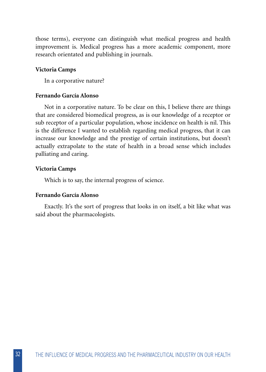those terms), everyone can distinguish what medical progress and health improvement is. Medical progress has a more academic component, more research orientated and publishing in journals.

#### **Victoria Camps**

In a corporative nature?

#### **Fernando García Alonso**

Not in a corporative nature. To be clear on this, I believe there are things that are considered biomedical progress, as is our knowledge of a receptor or sub receptor of a particular population, whose incidence on health is nil. This is the difference I wanted to establish regarding medical progress, that it can increase our knowledge and the prestige of certain institutions, but doesn't actually extrapolate to the state of health in a broad sense which includes palliating and caring.

#### **Victoria Camps**

Which is to say, the internal progress of science.

#### **Fernando García Alonso**

Exactly. It's the sort of progress that looks in on itself, a bit like what was said about the pharmacologists.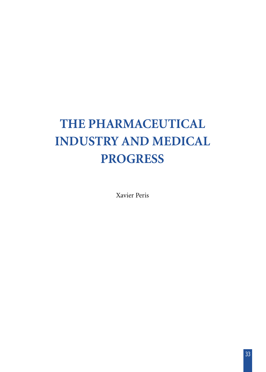# **THE PHARMACEUTICAL INDUSTRY AND MEDICAL PROGRESS**

Xavier Peris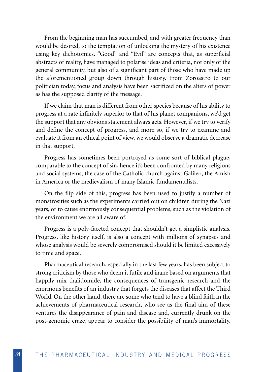From the beginning man has succumbed, and with greater frequency than would be desired, to the temptation of unlocking the mystery of his existence using key dichotomies. "Good" and "Evil" are concepts that, as superficial abstracts of reality, have managed to polarise ideas and criteria, not only of the general community, but also of a significant part of those who have made up the aforementioned group down through history. From Zoroastro to our politician today, focus and analysis have been sacrificed on the alters of power as has the supposed clarity of the message.

If we claim that man is different from other species because of his ability to progress at a rate infinitely superior to that of his planet companions, we'd get the support that any obvions statement always gets. However, if we try to verify and define the concept of progress, and more so, if we try to examine and evaluate it from an ethical point of view, we would observe a dramatic decrease in that support.

Progress has sometimes been portrayed as some sort of biblical plague, comparable to the concept of sin, hence it's been confronted by many religions and social systems; the case of the Catholic church against Galileo; the Amish in America or the medievalism of many Islamic fundamentalists.

On the flip side of this, progress has been used to justify a number of monstrosities such as the experiments carried out on children during the Nazi years, or to cause enormously consequential problems, such as the violation of the environment we are all aware of.

Progress is a poly-faceted concept that shouldn't get a simplistic analysis. Progress, like history itself, is also a concept with millions of synapses and whose analysis would be severely compromised should it be limited excessively to time and space.

Pharmaceutical research, especially in the last few years, has been subject to strong criticism by those who deem it futile and inane based on arguments that happily mix thalidomide, the consequences of transgenic research and the enormous benefits of an industry that forgets the diseases that affect the Third World. On the other hand, there are some who tend to have a blind faith in the achievements of pharmaceutical research, who see as the final aim of these ventures the disappearance of pain and disease and, currently drunk on the post-genomic craze, appear to consider the possibility of man's immortality.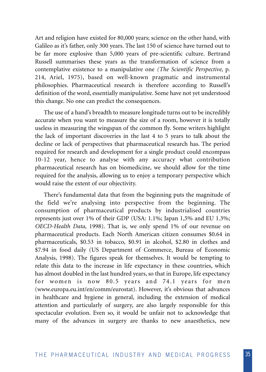Art and religion have existed for 80,000 years; science on the other hand, with Galileo as it's father, only 300 years. The last 150 of science have turned out to be far more explosive than 5,000 years of pre-scientific culture. Bertrand Russell summarises these years as the transformation of science from a contemplative existence to a manipulative one *(The Scientific Perspective,* p. 214, Ariel, 1975), based on well-known pragmatic and instrumental philosophies. Pharmaceutical research is therefore according to Russell's definition of the word, essentially manipulative. Some have not yet understood this change. No one can predict the consequences.

The use of a hand's breadth to measure longitude turns out to be incredibly accurate when you want to measure the size of a room, however it is totally useless in measuring the wingspan of the common fly. Some writers highlight the lack of important discoveries in the last 4 to 5 years to talk about the decline or lack of perspectives that pharmaceutical research has. The period required for research and development for a single product could encompass 10-12 year, hence to analyse with any accuracy what contribution pharmaceutical research has on biomedicine, we should allow for the time required for the analysis, allowing us to enjoy a temporary perspective which would raise the extent of our objectivity.

There's fundamental data that from the beginning puts the magnitude of the field we're analysing into perspective from the beginning. The consumption of pharmaceutical products by industrialised countries represents just over 1% of their GDP (USA: 1.1%; Japan 1,5% and EU 1.3%; *OECD-Health Data,* 1998). That is, we only spend 1% of our revenue on pharmaceutical products. Each North American citizen consumes \$0.64 in pharmaceuticals, \$0.53 in tobacco, \$0.91 in alcohol, \$2.80 in clothes and \$7.94 in food daily (US Department of Commerce, Bureau of Economic Analysis, 1998). The figures speak for themselves. It would be tempting to relate this data to the increase in life expectancy in these countries, which has almost doubled in the last hundred years, so that in Europe, life expectancy for women is now 80.5 years and 74.1 years for men (www.europa.eu.int/en/comm/eurostat). However, it's obvious that advances in healthcare and hygiene in general, including the extension of medical attention and particularly of surgery, are also largely responsible for this spectacular evolution. Even so, it would be unfair not to acknowledge that many of the advances in surgery are thanks to new anaesthetics, new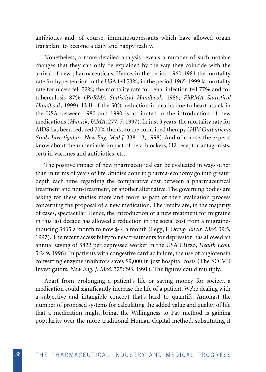antibiotics and, of course, immunosupressants which have allowed organ transplant to become a daily and happy reality.

Nonetheless, a more detailed analysis reveals a number of such notable changes that they can only be explained by the way they coincide with the arrival of new pharmaceuticals. Hence, in the period 1960-1981 the mortality rate for hypertension in the USA fell 53%; in the period 1965-1999 la mortality rate for ulcers fell 72%; the mortality rate for renal infection fell 77% and for tuberculosis 87% (*PhRMA Statistical Handbook*, 1986; *PhRMA Statistical Handbook*, 1999). Half of the 50% reduction in deaths due to heart attack in the USA between 1980 and 1990 is attributed to the introduction of new medications (*Hunick*, *JAMA,* 277: 7, 1997). In just 3 years, the mortality rate for AIDS has been reduced 70% thanks to the combined therapy (*HIV Outpatients Study Investigators*, *New Eng. Med J.* 338: 13, 1998). And of course, the experts know about the undeniable impact of beta-blockers, H2 receptor antagonists, certain vaccines and antibiotics, etc.

The positive impact of new pharmaceutical can be evaluated in ways other than in terms of years of life. Studies done in pharma-economy go into greater depth each time regarding the comparative cost between a pharmaceutical treatment and non-treatment, or another alternative. The governing bodies are asking for these studies more and more as part of their evaluation process concerning the proposal of a new medication. The results are, in the majority of cases, spectacular. Hence, the introduction of a new treatment for migraine in this last decade has allowed a reduction in the social cost from a migraineinducing \$435 a month to now \$44 a month (Legg, J. *Occup. Envir*. *Med.* 39:5, 1997). The recent accessibility to new treatments for depression has allowed an annual saving of \$822 per depressed worker in the USA (Rizzo, *Health Econ*. 5:249, 1996). In patients with congestive cardiac failure, the use of angiotensin converting enzyme inhibitors saves \$9,000 in just hospital costs (The SOLVD Investigators, *New Eng. J. Med.* 325:293, 1991). The figures could multiply.

Apart from prolonging a patient's life or saving money for society, a medication could significantly increase the life of a patient. We're dealing with a subjective and intangible concept that's hard to quantify. Amongst the number of proposed systems for calculating the added value and quality of life that a medication might bring, the Willingness to Pay method is gaining popularity over the more traditional Human Capital method, substituting it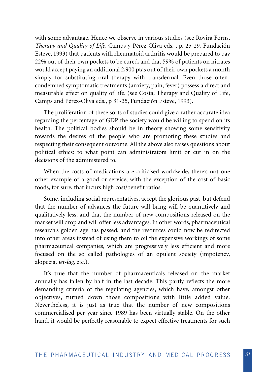with some advantage. Hence we observe in various studies (see Rovira Forns, *Therapy and Quality of Life*, Camps y Pérez-Oliva eds. , p. 25-29, Fundación Esteve, 1993) that patients with rheumatoid arthritis would be prepared to pay 22% out of their own pockets to be cured, and that 59% of patients on nitrates would accept paying an additional 2,900 ptas out of their own pockets a month simply for substituting oral therapy with transdermal. Even those oftencondemned symptomatic treatments (anxiety, pain, fever) possess a direct and measurable effect on quality of life. (see Costa, Therapy and Quality of Life, Camps and Pérez-Oliva eds., p 31-35, Fundación Esteve, 1993).

The proliferation of these sorts of studies could give a rather accurate idea regarding the percentage of GDP the society would be willing to spend on its health. The political bodies should be in theory showing some sensitivity towards the desires of the people who are promoting these studies and respecting their consequent outcome. All the above also raises questions about political ethics: to what point can administrators limit or cut in on the decisions of the administered to.

When the costs of medications are criticised worldwide, there's not one other example of a good or service, with the exception of the cost of basic foods, for sure, that incurs high cost/benefit ratios.

Some, including social representatives, accept the glorious past, but defend that the number of advances the future will bring will be quantitively and qualitatively less, and that the number of new compositions released on the market will drop and will offer less advantages. In other words, pharmaceutical research's golden age has passed, and the resources could now be redirected into other areas instead of using them to oil the expensive workings of some pharmaceutical companies, which are progressively less efficient and more focused on the so called pathologies of an opulent society (impotency, alopecia, *jet-lag*, etc.).

It's true that the number of pharmaceuticals released on the market annually has fallen by half in the last decade. This partly reflects the more demanding criteria of the regulating agencies, which have, amongst other objectives, turned down those compositions with little added value. Nevertheless, it is just as true that the number of new compositions commercialised per year since 1989 has been virtually stable. On the other hand, it would be perfectly reasonable to expect effective treatments for such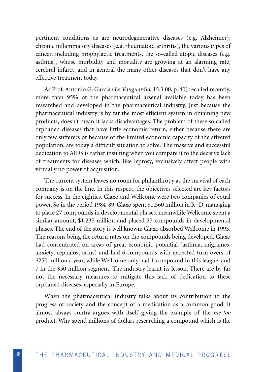pertinent conditions as are neurodegenerative diseases (e.g. Alzheimer), chronic inflammatory diseases (e.g. rheumatoid arthritis), the various types of cancer, including prophylactic treatments, the so-called atopic diseases (e.g. asthma), whose morbidity and mortality are growing at an alarming rate, cerebral infarct, and in general the many other diseases that don't have any effective treatment today.

As Prof. Antonio G. Garcia (*La Vanguardia,* 15.3.00, p. 40) recalled recently, more than 95% of the pharmaceutical arsenal available today has been researched and developed in the pharmaceutical industry. Just because the pharmaceutical industry is by far the most efficient system in obtaining new products, doesn't mean it lacks disadvantages. The problem of these so called orphaned diseases that have little economic return, either because there are only few sufferers or because of the limited economic capacity of the affected population, are today a difficult situation to solve. The massive and successful dedication to AIDS is rather insulting when you compare it to the decisive lack of treatments for diseases which, like leprosy, exclusively affect people with virtually no power of acquisition.

The current system leaves no room for philanthropy as the survival of each company is on the line. In this respect, the objectives selected are key factors for success. In the eighties, Glaxo and Wellcome were two companies of equal power. So in the period 1984-89, Glaxo spent \$1,560 million in R+D, managing to place 27 compounds in developmental phases, meanwhile Wellcome spent a similar amount, \$1,235 million and placed 25 compounds in developmental phases. The end of the story is well known: Glaxo absorbed Wellcome in 1995. The reasons being the return rates on the compounds being developed. Glaxo had concentrated on areas of great economic potential (asthma, migraines, anxiety, cephalosporins) and had 6 compounds with expected turn overs of \$250 million a year, while Wellcome only had 1 compound in this league, and 7 in the \$50 million segment. The industry learnt its lesson. There are by far not the necessary measures to mitigate this lack of dedication to these orphaned diseases, especially in Europe.

When the pharmaceutical industry talks about its contribution to the progress of society and the concept of a medication as a common good, it almost always contra-argues with itself giving the example of the *me-too* product. Why spend millions of dollars researching a compound which is the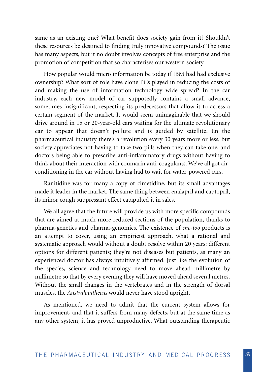same as an existing one? What benefit does society gain from it? Shouldn't these resources be destined to finding truly innovative compounds? The issue has many aspects, but it no doubt involves concepts of free enterprise and the promotion of competition that so characterises our western society.

How popular would micro information be today if IBM had had exclusive ownership? What sort of role have clone PCs played in reducing the costs of and making the use of information technology wide spread? In the car industry, each new model of car supposedly contains a small advance, sometimes insignificant, respecting its predecessors that allow it to access a certain segment of the market. It would seem unimaginable that we should drive around in 15 or 20-year-old cars waiting for the ultimate revolutionary car to appear that doesn't pollute and is guided by satellite. En the pharmaceutical industry there's a revolution every 30 years more or less, but society appreciates not having to take two pills when they can take one, and doctors being able to prescribe anti-inflammatory drugs without having to think about their interaction with coumarin anti-coagulants. We've all got airconditioning in the car without having had to wait for water-powered cars.

Ranitidine was for many a copy of cimetidine, but its small advantages made it leader in the market. The same thing between enalapril and captopril, its minor cough suppressant effect catapulted it in sales.

We all agree that the future will provide us with more specific compounds that are aimed at much more reduced sections of the population, thanks to pharma-genetics and pharma-genomics. The existence of *me-too* products is an attempt to cover, using an empiricist approach, what a rational and systematic approach would without a doubt resolve within 20 years: different options for different patients; they're not diseases but patients, as many an experienced doctor has always intuitively affirmed. Just like the evolution of the species, science and technology need to move ahead millimetre by millimetre so that by every evening they will have moved ahead several metres. Without the small changes in the vertebrates and in the strength of dorsal muscles, the *Australopithecus* would never have stood upright.

As mentioned, we need to admit that the current system allows for improvement, and that it suffers from many defects, but at the same time as any other system, it has proved unproductive. What outstanding therapeutic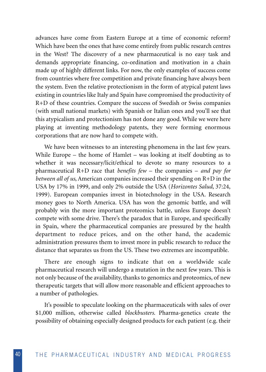advances have come from Eastern Europe at a time of economic reform? Which have been the ones that have come entirely from public research centres in the West? The discovery of a new pharmaceutical is no easy task and demands appropriate financing, co-ordination and motivation in a chain made up of highly different links. For now, the only examples of success come from countries where free competition and private financing have always been the system. Even the relative protectionism in the form of atypical patent laws existing in countries like Italy and Spain have compromised the productivity of R+D of these countries. Compare the success of Swedish or Swiss companies (with small national markets) with Spanish or Italian ones and you'll see that this atypicalism and protectionism has not done any good. While we were here playing at inventing methodology patents, they were forming enormous corporations that are now hard to compete with.

We have been witnesses to an interesting phenomena in the last few years. While Europe – the home of Hamlet – was looking at itself doubting as to whether it was necessary/licit/ethical to devote so many resources to a pharmaceutical R+D race that *benefits few* – the companies – *and pay for between all of us*, American companies increased their spending on R+D in the USA by 17% in 1999, and only 2% outside the USA (*Horizontes Salud*, 37:24, 1999). European companies invest in biotechnology in the USA. Research money goes to North America. USA has won the genomic battle, and will probably win the more important proteomics battle, unless Europe doesn't compete with some drive. There's the paradox that in Europe, and specifically in Spain, where the pharmaceutical companies are pressured by the health department to reduce prices, and on the other hand, the academic administration pressures them to invest more in public research to reduce the distance that separates us from the US. These two extremes are incompatible.

There are enough signs to indicate that on a worldwide scale pharmaceutical research will undergo a mutation in the next few years. This is not only because of the availability, thanks to genomics and proteomics, of new therapeutic targets that will allow more reasonable and efficient approaches to a number of pathologies.

It's possible to speculate looking on the pharmaceuticals with sales of over \$1,000 million, otherwise called *blockbusters*. Pharma-genetics create the possibility of obtaining especially designed products for each patient (e.g. their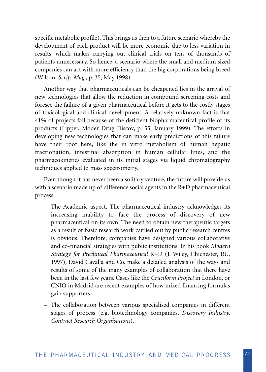specific metabolic profile). This brings us then to a future scenario whereby the development of each product will be more economic due to less variation in results, which makes carrying out clinical trials on tens of thousands of patients unnecessary. So hence, a scenario where the small and medium sized companies can act with more efficiency than the big corporations being breed (Wilson, *Scrip. Mag*., p. 35, May 1998).

Another way that pharmaceuticals can be cheapened lies in the arrival of new technologies that allow the reduction in compound screening costs and foresee the failure of a given pharmaceutical before it gets to the costly stages of toxicological and clinical development. A relatively unknown fact is that 41% of projects fail because of the deficient biopharmaceutical profile of its products (Lipper, Moder Drug Discov, p. 55, January 1999). The efforts in developing new technologies that can make early predictions of this failure have their root here, like the in vitro metabolism of human hepatic fractionation, intestinal absorption in human cellular lines, and the pharmacokinetics evaluated in its initial stages via liquid chromatography techniques applied to mass spectrometry.

Even though it has never been a solitary venture, the future will provide us with a scenario made up of difference social agents in the  $R+D$  pharmaceutical process:

- The Academic aspect. The pharmaceutical industry acknowledges its increasing inability to face the process of discovery of new pharmaceutical on its own. The need to obtain new therapeutic targets as a result of basic research work carried out by public research centres is obvious. Therefore, companies have designed various collaborative and co-financial strategies with public institutions. In his book *Modern Strategy for Preclinical Pharmaceutical* R+D (J. Wiley, Chichester, RU, 1997), David Cavalla and Co. make a detailed analysis of the ways and results of some of the many examples of collaboration that there have been in the last few years. Cases like the *Cruciform Project* in London, or CNIO in Madrid are recent examples of how mixed financing formulas gain supporters.
- The collaboration between various specialised companies in different stages of process (e.g. biotechnology companies, *Discovery Industry, Contract Research Organisations*).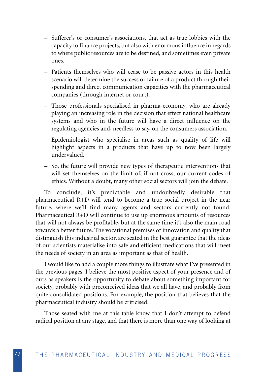- Sufferer's or consumer's associations, that act as true lobbies with the capacity to finance projects, but also with enormous influence in regards to where public resources are to be destined, and sometimes even private ones.
- Patients themselves who will cease to be passive actors in this health scenario will determine the success or failure of a product through their spending and direct communication capacities with the pharmaceutical companies (through internet or court).
- Those professionals specialised in pharma-economy, who are already playing an increasing role in the decision that effect national healthcare systems and who in the future will have a direct influence on the regulating agencies and, needless to say, on the consumers association.
- Epidemiologist who specialise in areas such as quality of life will highlight aspects in a products that have up to now been largely undervalued.
- So, the future will provide new types of therapeutic interventions that will set themselves on the limit of, if not cross, our current codes of ethics. Without a doubt, many other social sectors will join the debate.

To conclude, it's predictable and undoubtedly desirable that pharmaceutical R+D will tend to become a true social project in the near future, where we'll find many agents and sectors currently not found. Pharmaceutical R+D will continue to use up enormous amounts of resources that will not always be profitable, but at the same time it's also the main road towards a better future. The vocational premises of innovation and quality that distinguish this industrial sector, are seated in the best guarantee that the ideas of our scientists materialise into safe and efficient medications that will meet the needs of society in an area as important as that of health.

I would like to add a couple more things to illustrate what I've presented in the previous pages. I believe the most positive aspect of your presence and of ours as speakers is the opportunity to debate about something important for society, probably with preconceived ideas that we all have, and probably from quite consolidated positions. For example, the position that believes that the pharmaceutical industry should be criticised.

Those seated with me at this table know that I don't attempt to defend radical position at any stage, and that there is more than one way of looking at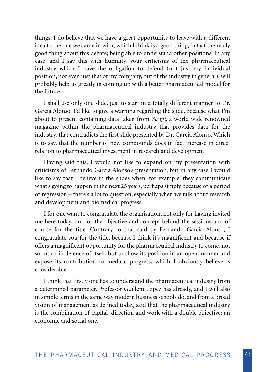things. I do believe that we have a great opportunity to leave with a different idea to the one we came in with, which I think is a good thing, in fact the really good thing about this debate; being able to understand other positions. In any case, and I say this with humility, your criticisms of the pharmaceutical industry which I have the obligation to defend (not just my individual position, nor even just that of my company, but of the industry in general), will probably help us greatly in coming up with a better pharmaceutical model for the future.

I shall use only one slide, just to start in a totally different manner to Dr. Garcia Alonso. I'd like to give a warning regarding the slide, because what I'm about to present containing data taken from *Script*, a world wide renowned magazine within the pharmaceutical industry that provides data for the industry, that contradicts the first slide presented by Dr. Garcia Alonso. Which is to say, that the number of new compounds does in fact increase in direct relation to pharmaceutical investment in research and development.

Having said this, I would not like to expand on my presentation with criticisms of Fernando García Alonso's presentation, but in any case I would like to say that I believe in the slides when, for example, they communicate what's going to happen in the next 25 years, perhaps simply because of a period of regression – there's a lot to question, especially when we talk about research and development and biomedical progress.

I for one want to congratulate the organisation, not only for having invited me here today, but for the objective and concept behind the sessions and of course for the title. Contrary to that said by Fernando García Alonso, I congratulate you for the title, because I think it's magnificent and because if offers a magnificent opportunity for the pharmaceutical industry to come, not so much in defence of itself, but to show its position in an open manner and expose its contribution to medical progress, which I obviously believe is considerable.

I think that firstly one has to understand the pharmaceutical industry from a determined parameter. Professor Guillem López has already, and I will also in simple terms in the same way modern business schools do, and from a broad vision of management as defined today, said that the pharmaceutical industry is the combination of capital, direction and work with a double objective: an economic and social one.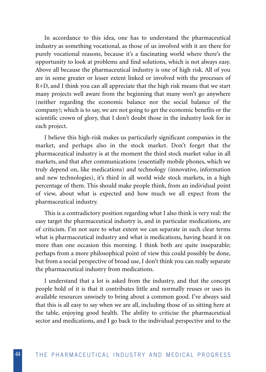In accordance to this idea, one has to understand the pharmaceutical industry as something vocational, as those of us involved with it are there for purely vocational reasons, because it's a fascinating world where there's the opportunity to look at problems and find solutions, which is not always easy. Above all because the pharmaceutical industry is one of high risk. All of you are in some greater or lesser extent linked or involved with the processes of R+D, and I think you can all appreciate that the high risk means that we start many projects well aware from the beginning that many won't go anywhere (neither regarding the economic balance nor the social balance of the company); which is to say, we are not going to get the economic benefits or the scientific crown of glory, that I don't doubt those in the industry look for in each project.

I believe this high-risk makes us particularly significant companies in the market, and perhaps also in the stock market. Don't forget that the pharmaceutical industry is at the moment the third stock market value in all markets, and that after communications (essentially mobile phones, which we truly depend on, like medications) and technology (innovative, information and new technologies), it's third in all world wide stock markets, in a high percentage of them. This should make people think, from an individual point of view, about what is expected and how much we all expect from the pharmaceutical industry.

This is a contradictory position regarding what I also think is very real: the easy target the pharmaceutical industry is, and in particular medications, are of criticism. I'm not sure to what extent we can separate in such clear terms what is pharmaceutical industry and what is medications, having heard it on more than one occasion this morning. I think both are quite inseparable; perhaps from a more philosophical point of view this could possibly be done, but from a social perspective of broad use, I don't think you can really separate the pharmaceutical industry from medications.

I understand that a lot is asked from the industry, and that the concept people hold of it is that it contributes little and normally reuses or uses its available resources unwisely to bring about a common good. I've always said that this is all easy to say when we are all, including those of us sitting here at the table, enjoying good health. The ability to criticise the pharmaceutical sector and medications, and I go back to the individual perspective and to the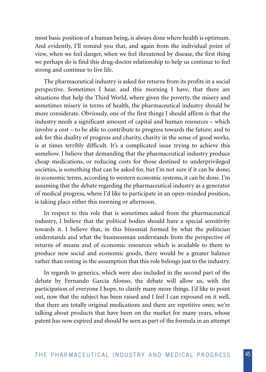most basic position of a human being, is always done where health is optimum. And evidently, I'll remind you that, and again from the individual point of view, when we feel danger, when we feel threatened by disease, the first thing we perhaps do is find this drug-doctor relationship to help us continue to feel strong and continue to live life.

The pharmaceutical industry is asked for returns from its profits in a social perspective. Sometimes I hear, and this morning I have, that there are situations that help the Third World, where given the poverty, the misery and sometimes misery in terms of health, the pharmaceutical industry should be more considerate. Obviously, one of the first things I should affirm is that the industry needs a significant amount of capital and human resources – which involve a cost – to be able to contribute to progress towards the future; and to ask for this duality of progress and charity, charity in the sense of good works, is at times terribly difficult. It's a complicated issue trying to achieve this somehow. I believe that demanding that the pharmaceutical industry produce cheap medications, or reducing costs for those destined to underprivileged societies, is something that can be asked for, but I'm not sure if it can be done**;** in economic terms, according to western economic systems, it can be done. I'm assuming that the debate regarding the pharmaceutical industry as a generator of medical progress, where I'd like to participate in an open-minded position, is taking place either this morning or afternoon.

In respect to this role that is sometimes asked from the pharmaceutical industry, I believe that the political bodies should have a special sensitivity towards it. I believe that, in this binomial formed by what the politician understands and what the businessman understands from the perspective of returns of means and of economic resources which is available to them to produce new social and economic goods, there would be a greater balance rather than resting in the assumption that this role belongs just to the industry.

In regards to generics, which were also included in the second part of the debate by Fernando García Alonso, the debate will allow us, with the participation of everyone I hope, to clarify many more things. I'd like to point out, now that the subject has been raised and I feel I can expound on it well, that there are totally original medications and there are repetitive ones; we're talking about products that have been on the market for many years, whose patent has now expired and should be seen as part of the formula in an attempt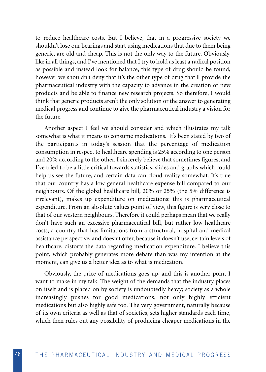to reduce healthcare costs. But I believe, that in a progressive society we shouldn't lose our bearings and start using medications that due to them being generic, are old and cheap. This is not the only way to the future. Obviously, like in all things, and I've mentioned that I try to hold as least a radical position as possible and instead look for balance, this type of drug should be found, however we shouldn't deny that it's the other type of drug that'll provide the pharmaceutical industry with the capacity to advance in the creation of new products and be able to finance new research projects. So therefore, I would think that generic products aren't the only solution or the answer to generating medical progress and continue to give the pharmaceutical industry a vision for the future.

Another aspect I feel we should consider and which illustrates my talk somewhat is what it means to consume medications. It's been stated by two of the participants in today's session that the percentage of medication consumption in respect to healthcare spending is 25% according to one person and 20% according to the other. I sincerely believe that sometimes figures, and I've tried to be a little critical towards statistics, slides and graphs which could help us see the future, and certain data can cloud reality somewhat. It's true that our country has a low general healthcare expense bill compared to our neighbours. Of the global healthcare bill, 20% or 25% (the 5% difference is irrelevant), makes up expenditure on medications: this is pharmaceutical expenditure. From an absolute values point of view, this figure is very close to that of our western neighbours. Therefore it could perhaps mean that we really don't have such an excessive pharmaceutical bill, but rather low healthcare costs; a country that has limitations from a structural, hospital and medical assistance perspective, and doesn't offer, because it doesn't use, certain levels of healthcare, distorts the data regarding medication expenditure. I believe this point, which probably generates more debate than was my intention at the moment, can give us a better idea as to what is medication.

Obviously, the price of medications goes up, and this is another point I want to make in my talk. The weight of the demands that the industry places on itself and is placed on by society is undoubtedly heavy; society as a whole increasingly pushes for good medications, not only highly efficient medications but also highly safe too. The very government, naturally because of its own criteria as well as that of societies, sets higher standards each time, which then rules out any possibility of producing cheaper medications in the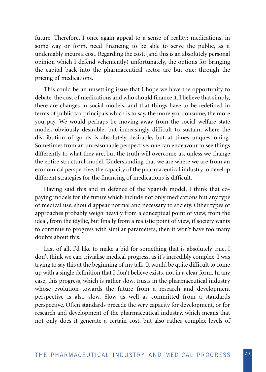future. Therefore, I once again appeal to a sense of reality: medications, in some way or form, need financing to be able to serve the public, as it undeniably incurs a cost. Regarding the cost, (and this is an absolutely personal opinion which I defend vehemently) unfortunately, the options for bringing the capital back into the pharmaceutical sector are but one: through the pricing of medications.

This could be an unsettling issue that I hope we have the opportunity to debate: the cost of medications and who should finance it. I believe that simply, there are changes in social models, and that things have to be redefined in terms of public tax principals which is to say, the more you consume, the more you pay. We would perhaps be moving away from the social welfare state model, obviously desirable, but increasingly difficult to sustain, where the distribution of goods is absolutely desirable, but at times unquestioning. Sometimes from an unreasonable perspective, one can endeavour to see things differently to what they are, but the truth will overcome us, unless we change the entire structural model. Understanding that we are where we are from an economical perspective, the capacity of the pharmaceutical industry to develop different strategies for the financing of medications is difficult.

Having said this and in defence of the Spanish model, I think that copaying models for the future which include not only medications but any type of medical use, should appear normal and necessary to society. Other types of approaches probably weigh heavily from a conceptual point of view, from the ideal, from the idyllic, but finally from a realistic point of view, if society wants to continue to progress with similar parameters, then it won't have too many doubts about this.

Last of all, I'd like to make a bid for something that is absolutely true. I don't think we can trivialise medical progress, as it's incredibly complex. I was trying to say this at the beginning of my talk. It would be quite difficult to come up with a single definition that I don't believe exists, not in a clear form. In any case, this progress, which is rather slow, trusts in the pharmaceutical industry whose evolution towards the future from a research and development perspective is also slow. Slow as well as committed from a standards perspective. Often standards precede the very capacity for development, or for research and development of the pharmaceutical industry, which means that not only does it generate a certain cost, but also rather complex levels of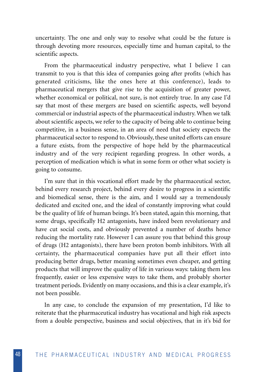uncertainty. The one and only way to resolve what could be the future is through devoting more resources, especially time and human capital, to the scientific aspects.

From the pharmaceutical industry perspective, what I believe I can transmit to you is that this idea of companies going after profits (which has generated criticisms, like the ones here at this conference), leads to pharmaceutical mergers that give rise to the acquisition of greater power, whether economical or political, not sure, is not entirely true. In any case I'd say that most of these mergers are based on scientific aspects, well beyond commercial or industrial aspects of the pharmaceutical industry. When we talk about scientific aspects, we refer to the capacity of being able to continue being competitive, in a business sense, in an area of need that society expects the pharmaceutical sector to respond to. Obviously, these united efforts can ensure a future exists, from the perspective of hope held by the pharmaceutical industry and of the very recipient regarding progress. In other words, a perception of medication which is what in some form or other what society is going to consume**.**

I'm sure that in this vocational effort made by the pharmaceutical sector, behind every research project, behind every desire to progress in a scientific and biomedical sense, there is the aim, and I would say a tremendously dedicated and excited one, and the ideal of constantly improving what could be the quality of life of human beings. It's been stated, again this morning, that some drugs, specifically H2 antagonists, have indeed been revolutionary and have cut social costs, and obviously prevented a number of deaths hence reducing the mortality rate. However I can assure you that behind this group of drugs (H2 antagonists), there have been proton bomb inhibitors. With all certainty, the pharmaceutical companies have put all their effort into producing better drugs, better meaning sometimes even cheaper, and getting products that will improve the quality of life in various ways: taking them less frequently, easier or less expensive ways to take them, and probably shorter treatment periods. Evidently on many occasions, and this is a clear example, it's not been possible.

In any case, to conclude the expansion of my presentation, I'd like to reiterate that the pharmaceutical industry has vocational and high risk aspects from a double perspective, business and social objectives, that in it's bid for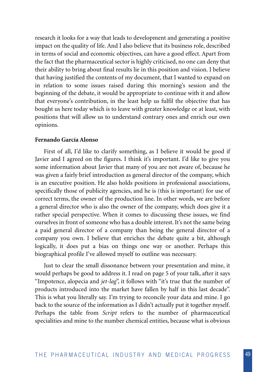research it looks for a way that leads to development and generating a positive impact on the quality of life. And I also believe that its business role, described in terms of social and economic objectives, can have a good effect. Apart from the fact that the pharmaceutical sector is highly criticised, no one can deny that their ability to bring about final results lie in this position and vision. I believe that having justified the contents of my document, that I wanted to expand on in relation to some issues raised during this morning's session and the beginning of the debate, it would be appropriate to continue with it and allow that everyone's contribution, in the least help us fulfil the objective that has bought us here today which is to leave with greater knowledge or at least, with positions that will allow us to understand contrary ones and enrich our own opinions.

# **Fernando García Alonso**

First of all, I'd like to clarify something, as I believe it would be good if Javier and I agreed on the figures. I think it's important. I'd like to give you some information about Javier that many of you are not aware of, because he was given a fairly brief introduction as general director of the company, which is an executive position. He also holds positions in professional associations, specifically those of publicity agencies, and he is (this is important) for use of correct terms, the owner of the production line. In other words, we are before a general director who is also the owner of the company, which does give it a rather special perspective. When it comes to discussing these issues, we find ourselves in front of someone who has a double interest. It's not the same being a paid general director of a company than being the general director of a company you own. I believe that enriches the debate quite a bit, although logically, it does put a bias on things one way or another. Perhaps this biographical profile I've allowed myself to outline was necessary.

Just to clear the small dissonance between your presentation and mine, it would perhaps be good to address it. I read on page 5 of your talk, after it says "Impotence, alopecia and *jet-lag*", it follows with "it's true that the number of products introduced into the market have fallen by half in this last decade". This is what you literally say. I'm trying to reconcile your data and mine. I go back to the source of the information as I didn't actually put it together myself. Perhaps the table from *Script* refers to the number of pharmaceutical specialities and mine to the number chemical entities, because what is obvious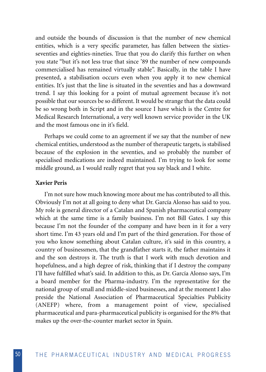and outside the bounds of discussion is that the number of new chemical entities, which is a very specific parameter, has fallen between the sixtiesseventies and eighties-nineties. True that you do clarify this further on when you state "but it's not less true that since '89 the number of new compounds commercialised has remained virtually stable". Basically, in the table I have presented, a stabilisation occurs even when you apply it to new chemical entities. It's just that the line is situated in the seventies and has a downward trend. I say this looking for a point of mutual agreement because it's not possible that our sources be so different. It would be strange that the data could be so wrong both in Script and in the source I have which is the Centre for Medical Research International, a very well known service provider in the UK and the most famous one in it's field.

Perhaps we could come to an agreement if we say that the number of new chemical entities, understood as the number of therapeutic targets, is stabilised because of the explosion in the seventies, and so probably the number of specialised medications are indeed maintained. I'm trying to look for some middle ground, as I would really regret that you say black and I white.

# **Xavier Peris**

I'm not sure how much knowing more about me has contributed to all this. Obviously I'm not at all going to deny what Dr. García Alonso has said to you. My role is general director of a Catalan and Spanish pharmaceutical company which at the same time is a family business. I'm not Bill Gates. I say this because I'm not the founder of the company and have been in it for a very short time. I'm 43 years old and I'm part of the third generation. For those of you who know something about Catalan culture, it's said in this country, a country of businessmen, that the grandfather starts it, the father maintains it and the son destroys it. The truth is that I work with much devotion and hopefulness, and a high degree of risk, thinking that if I destroy the company I'll have fulfilled what's said. In addition to this, as Dr. García Alonso says, I'm a board member for the Pharma-industry. I'm the representative for the national group of small and middle-sized businesses, and at the moment I also preside the National Association of Pharmaceutical Specialties Publicity (ANEFP) where, from a management point of view, specialised pharmaceutical and para-pharmaceutical publicity is organised for the 8% that makes up the over-the-counter market sector in Spain.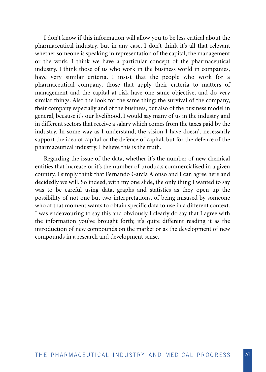I don't know if this information will allow you to be less critical about the pharmaceutical industry, but in any case, I don't think it's all that relevant whether someone is speaking in representation of the capital, the management or the work. I think we have a particular concept of the pharmaceutical industry. I think those of us who work in the business world in companies, have very similar criteria. I insist that the people who work for a pharmaceutical company, those that apply their criteria to matters of management and the capital at risk have one same objective, and do very similar things. Also the look for the same thing: the survival of the company, their company especially and of the business, but also of the business model in general, because it's our livelihood, I would say many of us in the industry and in different sectors that receive a salary which comes from the taxes paid by the industry. In some way as I understand, the vision I have doesn't necessarily support the idea of capital or the defence of capital, but for the defence of the pharmaceutical industry. I believe this is the truth.

Regarding the issue of the data, whether it's the number of new chemical entities that increase or it's the number of products commercialised in a given country, I simply think that Fernando García Alonso and I can agree here and decidedly we will. So indeed, with my one slide, the only thing I wanted to say was to be careful using data, graphs and statistics as they open up the possibility of not one but two interpretations, of being misused by someone who at that moment wants to obtain specific data to use in a different context. I was endeavouring to say this and obviously I clearly do say that I agree with the information you've brought forth; it's quite different reading it as the introduction of new compounds on the market or as the development of new compounds in a research and development sense.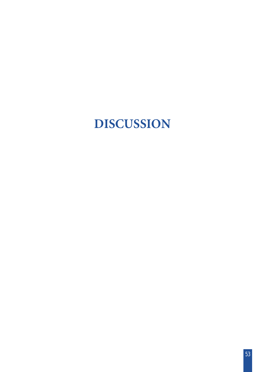# **DISCUSSION**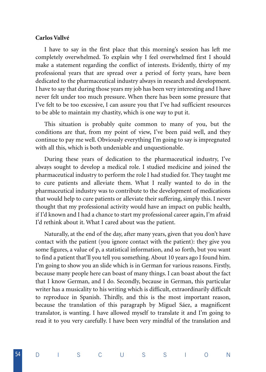# **Carlos Vallvé**

I have to say in the first place that this morning's session has left me completely overwhelmed. To explain why I feel overwhelmed first I should make a statement regarding the conflict of interests. Evidently, thirty of my professional years that are spread over a period of forty years, have been dedicated to the pharmaceutical industry always in research and development. I have to say that during those years my job has been very interesting and I have never felt under too much pressure. When there has been some pressure that I've felt to be too excessive, I can assure you that I've had sufficient resources to be able to maintain my chastity, which is one way to put it.

This situation is probably quite common to many of you, but the conditions are that, from my point of view, I've been paid well, and they continue to pay me well. Obviously everything I'm going to say is impregnated with all this, which is both undeniable and unquestionable.

During these years of dedication to the pharmaceutical industry, I've always sought to develop a medical role. I studied medicine and joined the pharmaceutical industry to perform the role I had studied for. They taught me to cure patients and alleviate them. What I really wanted to do in the pharmaceutical industry was to contribute to the development of medications that would help to cure patients or alleviate their suffering, simply this. I never thought that my professional activity would have an impact on public health, if I'd known and I had a chance to start my professional career again, I'm afraid I'd rethink about it. What I cared about was the patient.

Naturally, at the end of the day, after many years, given that you don't have contact with the patient (you ignore contact with the patient): they give you some figures, a value of p, a statistical information, and so forth, but you want to find a patient that'll you tell you something. About 10 years ago I found him. I'm going to show you an slide which is in German for various reasons. Firstly, because many people here can boast of many things. I can boast about the fact that I know German, and I do. Secondly, because in German, this particular writer has a musicality to his writing which is difficult, extraordinarily difficult to reproduce in Spanish. Thirdly, and this is the most important reason, because the translation of this paragraph by Miguel Sáez, a magnificent translator, is wanting. I have allowed myself to translate it and I'm going to read it to you very carefully. I have been very mindful of the translation and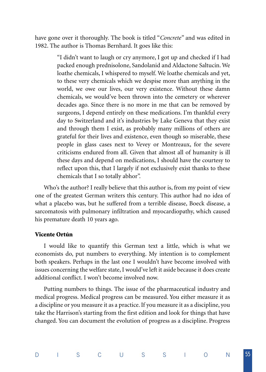have gone over it thoroughly. The book is titled "*Concrete"* and was edited in 1982. The author is Thomas Bernhard. It goes like this:

> "I didn't want to laugh or cry anymore, I got up and checked if I had packed enough prednisolone, Sandolanid and Aldactone Saltucin. We loathe chemicals, I whispered to myself. We loathe chemicals and yet, to these very chemicals which we despise more than anything in the world, we owe our lives, our very existence. Without these damn chemicals, we would've been thrown into the cemetery or wherever decades ago. Since there is no more in me that can be removed by surgeons, I depend entirely on these medications. I'm thankful every day to Switzerland and it's industries by Lake Geneva that they exist and through them I exist, as probably many millions of others are grateful for their lives and existence, even though so miserable, these people in glass cases next to Vevey or Montreaux, for the severe criticisms endured from all. Given that almost all of humanity is ill these days and depend on medications, I should have the courtesy to reflect upon this, that I largely if not exclusively exist thanks to these chemicals that I so totally abhor".

Who's the author? I really believe that this author is, from my point of view one of the greatest German writers this century. This author had no idea of what a placebo was, but he suffered from a terrible disease, Boeck disease, a sarcomatosis with pulmonary infiltration and myocardiopathy, which caused his premature death 10 years ago.

#### **Vicente Ortún**

I would like to quantify this German text a little, which is what we economists do, put numbers to everything. My intention is to complement both speakers. Perhaps in the last one I wouldn't have become involved with issues concerning the welfare state, I would've left it aside because it does create additional conflict. I won't become involved now.

Putting numbers to things. The issue of the pharmaceutical industry and medical progress. Medical progress can be measured. You either measure it as a discipline or you measure it as a practice. If you measure it as a discipline, you take the Harrison's starting from the first edition and look for things that have changed. You can document the evolution of progress as a discipline. Progress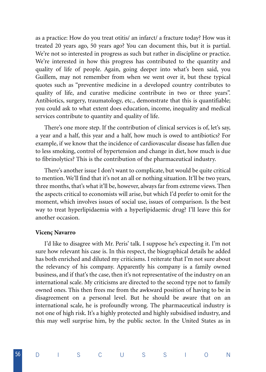as a practice: How do you treat otitis/ an infarct/ a fracture today? How was it treated 20 years ago, 50 years ago? You can document this, but it is partial. We're not so interested in progress as such but rather in discipline or practice. We're interested in how this progress has contributed to the quantity and quality of life of people. Again, going deeper into what's been said, you Guillem, may not remember from when we went over it, but these typical quotes such as "preventive medicine in a developed country contributes to quality of life, and curative medicine contribute in two or three years". Antibiotics, surgery, traumatology, etc., demonstrate that this is quantifiable; you could ask to what extent does education, income, inequality and medical services contribute to quantity and quality of life.

There's one more step. If the contribution of clinical services is of, let's say, a year and a half, this year and a half, how much is owed to antibiotics? For example, if we know that the incidence of cardiovascular disease has fallen due to less smoking, control of hypertension and change in diet, how much is due to fibrinolytics? This is the contribution of the pharmaceutical industry.

There's another issue I don't want to complicate, but would be quite critical to mention. We'll find that it's not an all or nothing situation. It'll be two years, three months, that's what it'll be, however, always far from extreme views. Then the aspects critical to economists will arise, but which I'd prefer to omit for the moment, which involves issues of social use, issues of comparison. Is the best way to treat hyperlipidaemia with a hyperlipidaemic drug? I'll leave this for another occasion.

## **Vicenç Navarro**

I'd like to disagree with Mr. Peris' talk. I suppose he's expecting it. I'm not sure how relevant his case is. In this respect, the biographical details he added has both enriched and diluted my criticisms. I reiterate that I'm not sure about the relevancy of his company. Apparently his company is a family owned business, and if that's the case, then it's not representative of the industry on an international scale. My criticisms are directed to the second type not to family owned ones. This then frees me from the awkward position of having to be in disagreement on a personal level. But he should be aware that on an international scale, he is profoundly wrong. The pharmaceutical industry is not one of high risk. It's a highly protected and highly subsidised industry, and this may well surprise him, by the public sector. In the United States as in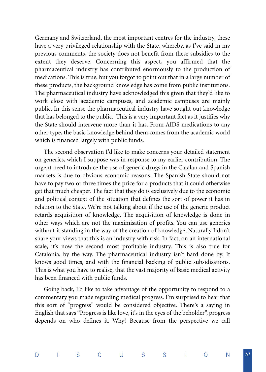Germany and Switzerland, the most important centres for the industry, these have a very privileged relationship with the State, whereby, as I've said in my previous comments, the society does not benefit from these subsidies to the extent they deserve. Concerning this aspect, you affirmed that the pharmaceutical industry has contributed enormously to the production of medications. This is true, but you forgot to point out that in a large number of these products, the background knowledge has come from public institutions. The pharmaceutical industry have acknowledged this given that they'd like to work close with academic campuses, and academic campuses are mainly public. In this sense the pharmaceutical industry have sought out knowledge that has belonged to the public. This is a very important fact as it justifies why the State should intervene more than it has. From AIDS medications to any other type, the basic knowledge behind them comes from the academic world which is financed largely with public funds.

The second observation I'd like to make concerns your detailed statement on generics, which I suppose was in response to my earlier contribution. The urgent need to introduce the use of generic drugs in the Catalan and Spanish markets is due to obvious economic reasons. The Spanish State should not have to pay two or three times the price for a products that it could otherwise get that much cheaper. The fact that they do is exclusively due to the economic and political context of the situation that defines the sort of power it has in relation to the State. We're not talking about if the use of the generic product retards acquisition of knowledge. The acquisition of knowledge is done in other ways which are not the maximisation of profits. You can use generics without it standing in the way of the creation of knowledge. Naturally I don't share your views that this is an industry with risk. In fact, on an international scale, it's now the second most profitable industry. This is also true for Catalonia, by the way. The pharmaceutical industry isn't hard done by. It knows good times, and with the financial backing of public subsidisations. This is what you have to realise, that the vast majority of basic medical activity has been financed with public funds.

Going back, I'd like to take advantage of the opportunity to respond to a commentary you made regarding medical progress. I'm surprised to hear that this sort of "progress" would be considered objective. There's a saying in English that says "Progress is like love, it's in the eyes of the beholder", progress depends on who defines it. Why? Because from the perspective we call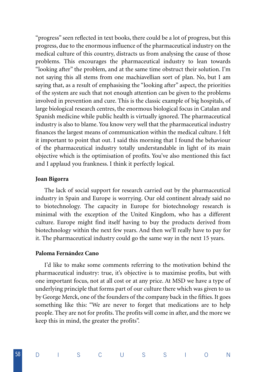"progress" seen reflected in text books, there could be a lot of progress, but this progress, due to the enormous influence of the pharmaceutical industry on the medical culture of this country, distracts us from analysing the cause of those problems. This encourages the pharmaceutical industry to lean towards "looking after" the problem, and at the same time obstruct their solution. I'm not saying this all stems from one machiavellian sort of plan. No, but I am saying that, as a result of emphasising the "looking after" aspect, the priorities of the system are such that not enough attention can be given to the problems involved in prevention and cure. This is the classic example of big hospitals, of large biological research centres, the enormous biological focus in Catalan and Spanish medicine while public health is virtually ignored. The pharmaceutical industry is also to blame. You know very well that the pharmaceutical industry finances the largest means of communication within the medical culture. I felt it important to point that out. I said this morning that I found the behaviour of the pharmaceutical industry totally understandable in light of its main objective which is the optimisation of profits. You've also mentioned this fact and I applaud you frankness. I think it perfectly logical.

### **Joan Bigorra**

The lack of social support for research carried out by the pharmaceutical industry in Spain and Europe is worrying. Our old continent already said no to biotechnology. The capacity in Europe for biotechnology research is minimal with the exception of the United Kingdom, who has a different culture. Europe might find itself having to buy the products derived from biotechnology within the next few years. And then we'll really have to pay for it. The pharmaceutical industry could go the same way in the next 15 years.

## **Paloma Fernández Cano**

I'd like to make some comments referring to the motivation behind the pharmaceutical industry: true, it's objective is to maximise profits, but with one important focus, not at all cost or at any price. At MSD we have a type of underlying principle that forms part of our culture there which was given to us by George Merck, one of the founders of the company back in the fifties. It goes something like this: "We are never to forget that medications are to help people. They are not for profits. The profits will come in after, and the more we keep this in mind, the greater the profits".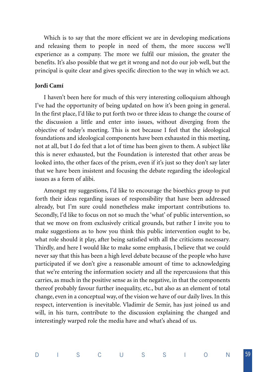Which is to say that the more efficient we are in developing medications and releasing them to people in need of them, the more success we'll experience as a company. The more we fulfil our mission, the greater the benefits. It's also possible that we get it wrong and not do our job well, but the principal is quite clear and gives specific direction to the way in which we act.

# **Jordi Camí**

I haven't been here for much of this very interesting colloquium although I've had the opportunity of being updated on how it's been going in general. In the first place, I'd like to put forth two or three ideas to change the course of the discussion a little and enter into issues, without diverging from the objective of today's meeting. This is not because I feel that the ideological foundations and ideological components have been exhausted in this meeting, not at all, but I do feel that a lot of time has been given to them. A subject like this is never exhausted, but the Foundation is interested that other areas be looked into, the other faces of the prism, even if it's just so they don't say later that we have been insistent and focusing the debate regarding the ideological issues as a form of alibi.

Amongst my suggestions, I'd like to encourage the bioethics group to put forth their ideas regarding issues of responsibility that have been addressed already, but I'm sure could nonetheless make important contributions to. Secondly, I'd like to focus on not so much the 'what' of public intervention, so that we move on from exclusively critical grounds, but rather I invite you to make suggestions as to how you think this public intervention ought to be, what role should it play, after being satisfied with all the criticisms necessary. Thirdly, and here I would like to make some emphasis, I believe that we could never say that this has been a high level debate because of the people who have participated if we don't give a reasonable amount of time to acknowledging that we're entering the information society and all the repercussions that this carries, as much in the positive sense as in the negative, in that the components thereof probably favour further inequality, etc., but also as an element of total change, even in a conceptual way, of the vision we have of our daily lives. In this respect, intervention is inevitable. Vladimir de Semir, has just joined us and will, in his turn, contribute to the discussion explaining the changed and interestingly warped role the media have and what's ahead of us.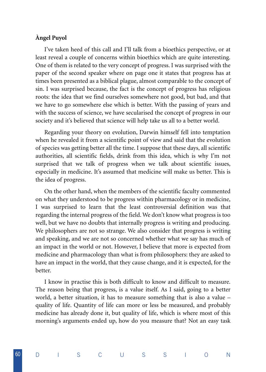## **Àngel Puyol**

I've taken heed of this call and I'll talk from a bioethics perspective, or at least reveal a couple of concerns within bioethics which are quite interesting. One of them is related to the very concept of progress. I was surprised with the paper of the second speaker where on page one it states that progress has at times been presented as a biblical plague, almost comparable to the concept of sin. I was surprised because, the fact is the concept of progress has religious roots: the idea that we find ourselves somewhere not good, but bad, and that we have to go somewhere else which is better. With the passing of years and with the success of science, we have secularised the concept of progress in our society and it's believed that science will help take us all to a better world.

Regarding your theory on evolution, Darwin himself fell into temptation when he revealed it from a scientific point of view and said that the evolution of species was getting better all the time. I suppose that these days, all scientific authorities, all scientific fields, drink from this idea, which is why I'm not surprised that we talk of progress when we talk about scientific issues, especially in medicine. It's assumed that medicine will make us better. This is the idea of progress.

On the other hand, when the members of the scientific faculty commented on what they understood to be progress within pharmacology or in medicine, I was surprised to learn that the least controversial definition was that regarding the internal progress of the field. We don't know what progress is too well, but we have no doubts that internally progress is writing and producing. We philosophers are not so strange. We also consider that progress is writing and speaking, and we are not so concerned whether what we say has much of an impact in the world or not. However, I believe that more is expected from medicine and pharmacology than what is from philosophers: they are asked to have an impact in the world, that they cause change, and it is expected, for the better.

I know in practise this is both difficult to know and difficult to measure. The reason being that progress, is a value itself. As I said, going to a better world, a better situation, it has to measure something that is also a value – quality of life. Quantity of life can more or less be measured, and probably medicine has already done it, but quality of life, which is where most of this morning's arguments ended up, how do you measure that? Not an easy task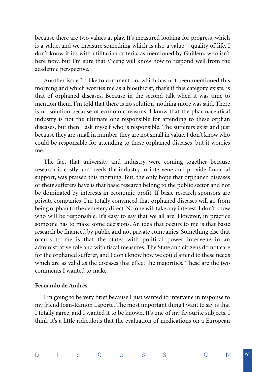because there are two values at play. It's measured looking for progress, which is a value, and we measure something which is also a value – quality of life. I don't know if it's with utilitarian criteria, as mentioned by Guillem, who isn't here now, but I'm sure that Vicenç will know how to respond well from the academic perspective.

Another issue I'd like to comment on, which has not been mentioned this morning and which worries me as a bioethicist**,** that's if this category exists, is that of orphaned diseases. Because in the second talk when it was time to mention them, I'm told that there is no solution, nothing more was said. There is no solution because of economic reasons. I know that the pharmaceutical industry is not the ultimate one responsible for attending to these orphan diseases, but then I ask myself who is responsible. The sufferers exist and just because they are small in number, they are not small in value. I don't know who could be responsible for attending to these orphaned diseases, but it worries me.

The fact that university and industry were coming together because research is costly and needs the industry to intervene and provide financial support, was praised this morning. But, the only hope that orphaned diseases or their sufferers have is that basic research belong to the public sector and not be dominated by interests in economic profit. If basic research sponsors are private companies, I'm totally convinced that orphaned diseases will go from being orphan to the cemetery direct. No one will take any interest. I don't know who will be responsible. It's easy to say that we all are. However, in practice someone has to make some decisions. An idea that occurs to me is that basic research be financed by public and not private companies. Something else that occurs to me is that the states with political power intervene in an administrative role and with fiscal measures. The State and citizens do not care for the orphaned sufferer, and I don't know how we could attend to these needs which are as valid as the diseases that effect the majorities. These are the two comments I wanted to make.

# **Fernando de Andrés**

I'm going to be very brief because I just wanted to intervene in response to my friend Joan-Ramon Laporte. The most important thing I want to say is that I totally agree, and I wanted it to be known. It's one of my favourite subjects. I think it's a little ridiculous that the evaluation of medications on a European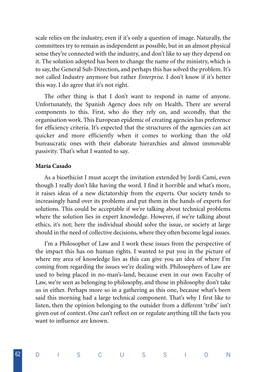scale relies on the industry, even if it's only a question of image. Naturally, the committees try to remain as independent as possible, but in an almost physical sense they're connected with the industry, and don't like to say they depend on it. The solution adopted has been to change the name of the ministry, which is to say, the General Sub-Direction**,** and perhaps this has solved the problem. It's not called Industry anymore but rather *Enterprise*. I don't know if it's better this way. I do agree that it's not right.

The other thing is that I don't want to respond in name of anyone. Unfortunately, the Spanish Agency does rely on Health**.** There are several components to this. First, who do they rely on, and secondly, that the organisation work. This European epidemic of creating agencies has preference for efficiency criteria. It's expected that the structures of the agencies can act quicker and more efficiently when it comes to working than the old bureaucratic ones with their elaborate hierarchies and almost immovable passivity. That's what I wanted to say.

#### **María Casado**

As a bioethicist I must accept the invitation extended by Jordi Camí, even though I really don't like having the word. I find it horrible and what's more, it raises ideas of a new dictatorship from the experts. Our society tends to increasingly hand over its problems and put them in the hands of experts for solutions. This could be acceptable if we're talking about technical problems where the solution lies in expert knowledge. However, if we're talking about ethics, it's not; here the individual should solve the issue, or society at large should in the need of collective decisions, where they often become legal issues.

I'm a Philosopher of Law and I work these issues from the perspective of the impact this has on human rights. I wanted to put you in the picture of where my area of knowledge lies as this can give you an idea of where I'm coming from regarding the issues we're dealing with. Philosophers of Law are used to being placed in no-man's-land, because even in our own Faculty of Law, we're seen as belonging to philosophy, and those in philosophy don't take us in either. Perhaps more so in a gathering as this one, because what's been said this morning had a large technical component. That's why I first like to listen, then the opinion belonging to the outsider from a different 'tribe' isn't given out of context. One can't reflect on or regulate anything till the facts you want to influence are known.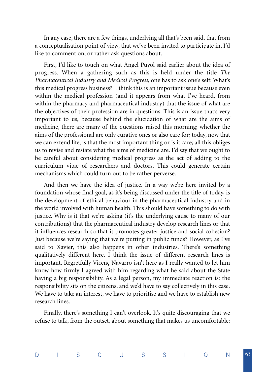In any case, there are a few things, underlying all that's been said, that from a conceptualisation point of view, that we've been invited to participate in, I'd like to comment on, or rather ask questions about.

First, I'd like to touch on what Ángel Puyol said earlier about the idea of progress. When a gathering such as this is held under the title *The Pharmaceutical Industry and Medical Progress*, one has to ask one's self: What's this medical progress business? I think this is an important issue because even within the medical profession (and it appears from what I've heard, from within the pharmacy and pharmaceutical industry) that the issue of what are the objectives of their profession are in questions. This is an issue that's very important to us, because behind the elucidation of what are the aims of medicine, there are many of the questions raised this morning; whether the aims of the professional are only curative ones or also care for; today, now that we can extend life, is that the most important thing or is it care; all this obliges us to revise and restate what the aims of medicine are. I'd say that we ought to be careful about considering medical progress as the act of adding to the curriculum vitae of researchers and doctors. This could generate certain mechanisms which could turn out to be rather perverse.

And then we have the idea of justice. In a way we're here invited by a foundation whose final goal, as it's being discussed under the title of today, is the development of ethical behaviour in the pharmaceutical industry and in the world involved with human health. This should have something to do with justice. Why is it that we're asking (it's the underlying cause to many of our contributions) that the pharmaceutical industry develop research lines or that it influences research so that it promotes greater justice and social cohesion? Just because we're saying that we're putting in public funds? However, as I've said to Xavier, this also happens in other industries. There's something qualitatively different here. I think the issue of different research lines is important. Regretfully Vicenç Navarro isn't here as I really wanted to let him know how firmly I agreed with him regarding what he said about the State having a big responsibility. As a legal person, my immediate reaction is: the responsibility sits on the citizens, and we'd have to say collectively in this case. We have to take an interest, we have to prioritise and we have to establish new research lines.

Finally, there's something I can't overlook. It's quite discouraging that we refuse to talk, from the outset, about something that makes us uncomfortable: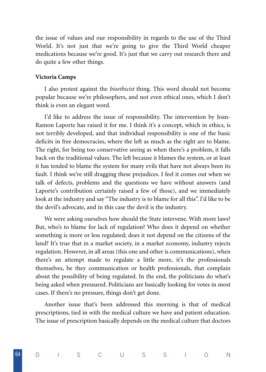the issue of values and our responsibility in regards to the use of the Third World. It's not just that we're going to give the Third World cheaper medications because we're good. It's just that we carry out research there and do quite a few other things.

## **Victoria Camps**

I also protest against the *bioethicist* thing. This word should not become popular because we're philosophers, and not even ethical ones, which I don't think is even an elegant word.

I'd like to address the issue of responsibility. The intervention by Joan-Ramon Laporte has raised it for me. I think it's a concept, which in ethics, is not terribly developed, and that individual responsibility is one of the basic deficits in free democracies, where the left as much as the right are to blame. The right, for being too conservative seeing as when there's a problem, it falls back on the traditional values. The left because it blames the system, or at least it has tended to blame the system for many evils that have not always been its fault. I think we're still dragging these prejudices. I feel it comes out when we talk of defects, problems and the questions we have without answers (and Laporte's contribution certainly raised a few of those), and we immediately look at the industry and say "The industry is to blame for all this". I'd like to be the devil's advocate, and in this case the devil is the industry.

We were asking ourselves how should the State intervene. With more laws? But, who's to blame for lack of regulation? Who does it depend on whether something is more or less regulated; does it not depend on the citizens of the land? It's true that in a market society, in a market economy, industry rejects regulation. However, in all areas (this one and other is communications), when there's an attempt made to regulate a little more, it's the professionals themselves, be they communication or health professionals, that complain about the possibility of being regulated. In the end, the politicians do what's being asked when pressured. Politicians are basically looking for votes in most cases. If there's no pressure, things don't get done.

Another issue that's been addressed this morning is that of medical prescriptions, tied in with the medical culture we have and patient education. The issue of prescription basically depends on the medical culture that doctors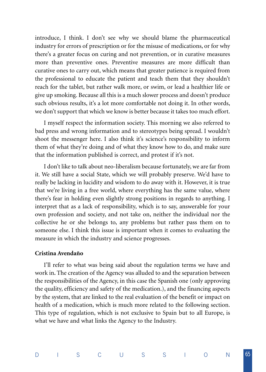introduce, I think. I don't see why we should blame the pharmaceutical industry for errors of prescription or for the misuse of medications, or for why there's a greater focus on curing and not prevention, or in curative measures more than preventive ones. Preventive measures are more difficult than curative ones to carry out, which means that greater patience is required from the professional to educate the patient and teach them that they shouldn't reach for the tablet, but rather walk more, or swim, or lead a healthier life or give up smoking. Because all this is a much slower process and doesn't produce such obvious results, it's a lot more comfortable not doing it. In other words, we don't support that which we know is better because it takes too much effort.

I myself respect the information society. This morning we also referred to bad press and wrong information and to stereotypes being spread. I wouldn't shoot the messenger here. I also think it's science's responsibility to inform them of what they're doing and of what they know how to do, and make sure that the information published is correct, and protest if it's not.

I don't like to talk about neo-liberalism because fortunately, we are far from it. We still have a social State, which we will probably preserve. We'd have to really be lacking in lucidity and wisdom to do away with it. However, it is true that we're living in a free world, where everything has the same value, where there's fear in holding even slightly strong positions in regards to anything. I interpret that as a lack of responsibility, which is to say, answerable for your own profession and society, and not take on, neither the individual nor the collective he or she belongs to, any problems but rather pass them on to someone else. I think this issue is important when it comes to evaluating the measure in which the industry and science progresses.

## **Cristina Avendaño**

I'll refer to what was being said about the regulation terms we have and work in**.** The creation of the Agency was alluded to and the separation between the responsibilities of the Agency, in this case the Spanish one (only approving the quality, efficiency and safety of the medication.), and the financing aspects by the system, that are linked to the real evaluation of the benefit or impact on health of a medication, which is much more related to the following section. This type of regulation, which is not exclusive to Spain but to all Europe, is what we have and what links the Agency to the Industry.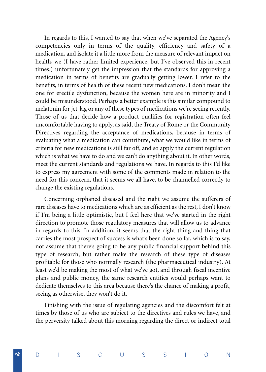In regards to this, I wanted to say that when we've separated the Agency's competencies only in terms of the quality, efficiency and safety of a medication, and isolate it a little more from the measure of relevant impact on health, we (I have rather limited experience, but I've observed this in recent times.) unfortunately get the impression that the standards for approving a medication in terms of benefits are gradually getting lower. I refer to the benefits, in terms of health of these recent new medications. I don't mean the one for erectile dysfunction, because the women here are in minority and I could be misunderstood. Perhaps a better example is this similar compound to melatonin for jet-lag or any of these types of medications we're seeing recently. Those of us that decide how a product qualifies for registration often feel uncomfortable having to apply, as said, the Treaty of Rome or the Community Directives regarding the acceptance of medications, because in terms of evaluating what a medication can contribute, what we would like in terms of criteria for new medications is still far off, and so apply the current regulation which is what we have to do and we can't do anything about it. In other words, meet the current standards and regulations we have. In regards to this I'd like to express my agreement with some of the comments made in relation to the need for this concern, that it seems we all have, to be channelled correctly to change the existing regulations.

Concerning orphaned diseased and the right we assume the sufferers of rare diseases have to medications which are as efficient as the rest, I don't know if I'm being a little optimistic, but I feel here that we've started in the right direction to promote those regulatory measures that will allow us to advance in regards to this. In addition, it seems that the right thing and thing that carries the most prospect of success is what's been done so far, which is to say, not assume that there's going to be any public financial support behind this type of research, but rather make the research of these type of diseases profitable for those who normally research (the pharmaceutical industry). At least we'd be making the most of what we've got, and through fiscal incentive plans and public money, the same research entities would perhaps want to dedicate themselves to this area because there's the chance of making a profit, seeing as otherwise, they won't do it.

Finishing with the issue of regulating agencies and the discomfort felt at times by those of us who are subject to the directives and rules we have, and the perversity talked about this morning regarding the direct or indirect total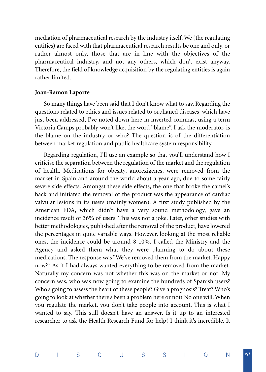mediation of pharmaceutical research by the industry itself. We (the regulating entities) are faced with that pharmaceutical research results be one and only, or rather almost only, those that are in line with the objectives of the pharmaceutical industry, and not any others, which don't exist anyway. Therefore, the field of knowledge acquisition by the regulating entities is again rather limited.

## **Joan-Ramon Laporte**

So many things have been said that I don't know what to say. Regarding the questions related to ethics and issues related to orphaned diseases, which have just been addressed, I've noted down here in inverted commas, using a term Victoria Camps probably won't like, the word "blame". I ask the moderator, is the blame on the industry or who? The question is of the differentiation between market regulation and public healthcare system responsibility.

Regarding regulation, I'll use an example so that you'll understand how I criticise the separation between the regulation of the market and the regulation of health. Medications for obesity, anorexigenes, were removed from the market in Spain and around the world about a year ago, due to some fairly severe side effects. Amongst these side effects, the one that broke the camel's back and initiated the removal of the product was the appearance of cardiac valvular lesions in its users (mainly women). A first study published by the American FDA, which didn't have a very sound methodology, gave an incidence result of 36% of users. This was not a joke. Later, other studies with better methodologies, published after the removal of the product, have lowered the percentages in quite variable ways. However, looking at the most reliable ones, the incidence could be around 8-10%. I called the Ministry and the Agency and asked them what they were planning to do about these medications. The response was "We've removed them from the market. Happy now?" As if I had always wanted everything to be removed from the market. Naturally my concern was not whether this was on the market or not. My concern was, who was now going to examine the hundreds of Spanish users? Who's going to assess the heart of these people? Give a prognosis? Treat? Who's going to look at whether there's been a problem here or not? No one will. When you regulate the market, you don't take people into account. This is what I wanted to say. This still doesn't have an answer. Is it up to an interested researcher to ask the Health Research Fund for help? I think it's incredible. It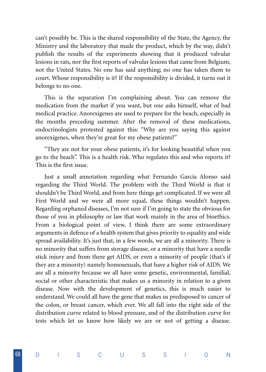can't possibly be. This is the shared responsibility of the State, the Agency, the Ministry and the laboratory that made the product, which by the way, didn't publish the results of the experiments showing that it produced valvular lesions in rats, nor the first reports of valvular lesions that came from Belgium, not the United States. No one has said anything; no one has taken them to court. Whose responsibility is it? If the responsibility is divided, it turns out it belongs to no one.

This is the separation I'm complaining about. You can remove the medication from the market if you want, but one asks himself, what of bad medical practice. Anorexigenes are used to prepare for the beach, especially in the months preceding summer. After the removal of these medications, endocrinologists protested against this: "Why are you saying this against anorexigenes, when they're great for my obese patients?"

"They are not for your obese patients, it's for looking beautiful when you go to the beach". This is a health risk. Who regulates this and who reports it? This is the first issue.

Just a small annotation regarding what Fernando García Alonso said regarding the Third World. The problem with the Third World is that it shouldn't be Third World, and from here things get complicated. If we were all First World and we were all more equal, these things wouldn't happen. Regarding orphaned diseases, I'm not sure if I'm going to state the obvious for those of you in philosophy or law that work mainly in the area of bioethics. From a biological point of view, I think there are some extraordinary arguments in defence of a health system that gives priority to equality and wide spread availability. It's just that, in a few words, we are all a minority. There is no minority that suffers from storage disease, or a minority that have a needle stick injury and from there get AIDS, or even a minority of people (that's if they are a minority) namely homosexuals, that have a higher risk of AIDS. We are all a minority because we all have some genetic, environmental, familial, social or other characteristic that makes us a minority in relation to a given disease. Now with the development of genetics, this is much easier to understand. We could all have the gene that makes us predisposed to cancer of the colon, or breast cancer, which ever. We all fall into the right side of the distribution curve related to blood pressure, and of the distribution curve for tests which let us know how likely we are or not of getting a disease.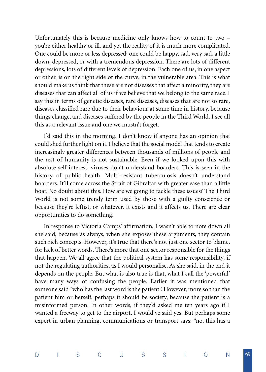Unfortunately this is because medicine only knows how to count to two – you're either healthy or ill, and yet the reality of it is much more complicated. One could be more or less depressed; one could be happy, sad, very sad, a little down, depressed, or with a tremendous depression. There are lots of different depressions, lots of different levels of depression. Each one of us, in one aspect or other, is on the right side of the curve, in the vulnerable area. This is what should make us think that these are not diseases that affect a minority, they are diseases that can affect all of us if we believe that we belong to the same race. I say this in terms of genetic diseases, rare diseases, diseases that are not so rare, diseases classified rare due to their behaviour at some time in history, because things change, and diseases suffered by the people in the Third World. I see all this as a relevant issue and one we mustn't forget.

I'd said this in the morning. I don't know if anyone has an opinion that could shed further light on it. I believe that the social model that tends to create increasingly greater differences between thousands of millions of people and the rest of humanity is not sustainable. Even if we looked upon this with absolute self-interest, viruses don't understand boarders. This is seen in the history of public health. Multi-resistant tuberculosis doesn't understand boarders. It'll come across the Strait of Gibraltar with greater ease than a little boat. No doubt about this. How are we going to tackle these issues? The Third World is not some trendy term used by those with a guilty conscience or because they're leftist, or whatever. It exists and it affects us. There are clear opportunities to do something.

In response to Victoria Camps' affirmation, I wasn't able to note down all she said, because as always, when she exposes these arguments, they contain such rich concepts. However, it's true that there's not just one sector to blame, for lack of better words. There's more that one sector responsible for the things that happen. We all agree that the political system has some responsibility, if not the regulating authorities, as I would personalise. As she said, in the end it depends on the people. But what is also true is that, what I call the 'powerful' have many ways of confusing the people. Earlier it was mentioned that someone said "who has the last word is the patient". However, more so than the patient him or herself, perhaps it should be society, because the patient is a misinformed person. In other words, if they'd asked me ten years ago if I wanted a freeway to get to the airport, I would've said yes. But perhaps some expert in urban planning, communications or transport says: "no, this has a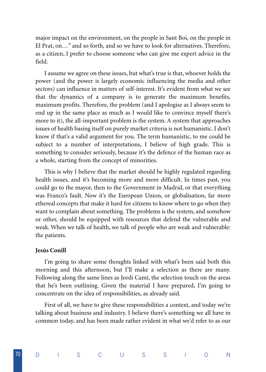major impact on the environment, on the people in Sant Boi, on the people in El Prat, on…" and so forth, and so we have to look for alternatives. Therefore, as a citizen, I prefer to choose someone who can give me expert advice in the field.

I assume we agree on these issues, but what's true is that, whoever holds the power (and the power is largely economic influencing the media and other sectors) can influence in matters of self-interest. It's evident from what we see that the dynamics of a company is to generate the maximum benefits, maximum profits. Therefore, the problem (and I apologise as I always seem to end up in the same place as much as I would like to convince myself there's more to it), the all-important problem is the system. A system that approaches issues of health basing itself on purely market criteria is not humanistic. I don't know if that's a valid argument for you. The term humanistic, to me could be subject to a number of interpretations, I believe of high grade. This is something to consider seriously, because it's the defence of the human race as a whole, starting from the concept of minorities.

This is why I believe that the market should be highly regulated regarding health issues, and it's becoming more and more difficult. In times past, you could go to the mayor, then to the Government in Madrid, or that everything was Franco's fault. Now it's the European Union, or globalisation, far more ethereal concepts that make it hard for citizens to know where to go when they want to complain about something. The problems is the system, and somehow or other, should be equipped with resources that defend the vulnerable and weak. When we talk of health, we talk of people who are weak and vulnerable: the patients.

# **Jesús Conill**

I'm going to share some thoughts linked with what's been said both this morning and this afternoon, but I'll make a selection as there are many. Following along the same lines as Jordi Camí, the selection touch on the areas that he's been outlining. Given the material I have prepared, I'm going to concentrate on the idea of responsibilities, as already said.

First of all, we have to give these responsibilities a context, and today we're talking about business and industry. I believe there's something we all have in common today, and has been made rather evident in what we'd refer to as our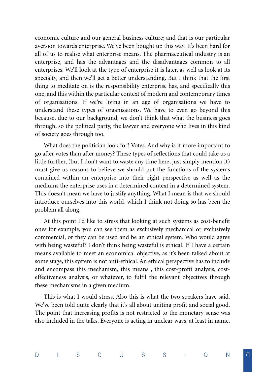economic culture and our general business culture; and that is our particular aversion towards enterprise. We've been bought up this way. It's been hard for all of us to realise what enterprise means. The pharmaceutical industry is an enterprise, and has the advantages and the disadvantages common to all enterprises. We'll look at the type of enterprise it is later, as well as look at its specialty, and then we'll get a better understanding. But I think that the first thing to meditate on is the responsibility enterprise has, and specifically this one, and this within the particular context of modern and contemporary times of organisations. If we're living in an age of organisations we have to understand these types of organisations. We have to even go beyond this because, due to our background, we don't think that what the business goes through, so the political party, the lawyer and everyone who lives in this kind of society goes through too.

What does the politician look for? Votes. And why is it more important to go after votes than after money? These types of reflections that could take us a little further, (but I don't want to waste any time here, just simply mention it) must give us reasons to believe we should put the functions of the systems contained within an enterprise into their right perspective as well as the mediums the enterprise uses in a determined context in a determined system. This doesn't mean we have to justify anything. What I mean is that we should introduce ourselves into this world, which I think not doing so has been the problem all along.

At this point I'd like to stress that looking at such systems as cost-benefit ones for example, you can see them as exclusively mechanical or exclusively commercial, or they can be used and be an ethical system. Who would agree with being wasteful? I don't think being wasteful is ethical. If I have a certain means available to meet an economical objective, as it's been talked about at some stage, this system is not anti-ethical. An ethical perspective has to include and encompass this mechanism, this means , this cost-profit analysis, costeffectiveness analysis, or whatever, to fulfil the relevant objectives through these mechanisms in a given medium.

This is what I would stress. Also this is what the two speakers have said. We've been told quite clearly that it's all about uniting profit and social good. The point that increasing profits is not restricted to the monetary sense was also included in the talks. Everyone is acting in unclear ways, at least in name**.**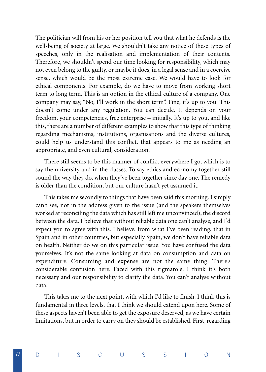The politician will from his or her position tell you that what he defends is the well-being of society at large. We shouldn't take any notice of these types of speeches, only in the realisation and implementation of their contents. Therefore, we shouldn't spend our time looking for responsibility, which may not even belong to the guilty, or maybe it does, in a legal sense and in a coercive sense, which would be the most extreme case. We would have to look for ethical components. For example, do we have to move from working short term to long term. This is an option in the ethical culture of a company. One company may say, "No, I'll work in the short term". Fine, it's up to you. This doesn't come under any regulation. You can decide. It depends on your freedom, your competencies, free enterprise – initially. It's up to you, and like this, there are a number of different examples to show that this type of thinking regarding mechanisms, institutions, organisations and the diverse cultures, could help us understand this conflict, that appears to me as needing an appropriate, and even cultural, consideration.

There still seems to be this manner of conflict everywhere I go, which is to say the university and in the classes. To say ethics and economy together still sound the way they do, when they've been together since day one. The remedy is older than the condition, but our culture hasn't yet assumed it.

This takes me secondly to things that have been said this morning. I simply can't see, not in the address given to the issue (and the speakers themselves worked at reconciling the data which has still left me unconvinced), the discord between the data. I believe that without reliable data one can't analyse, and I'd expect you to agree with this. I believe, from what I've been reading, that in Spain and in other countries, but especially Spain, we don't have reliable data on health. Neither do we on this particular issue. You have confused the data yourselves. It's not the same looking at data on consumption and data on expenditure. Consuming and expense are not the same thing. There's considerable confusion here. Faced with this rigmarole, I think it's both necessary and our responsibility to clarify the data. You can't analyse without data.

This takes me to the next point, with which I'd like to finish. I think this is fundamental in three levels, that I think we should extend upon here. Some of these aspects haven't been able to get the exposure deserved, as we have certain limitations, but in order to carry on they should be established. First, regarding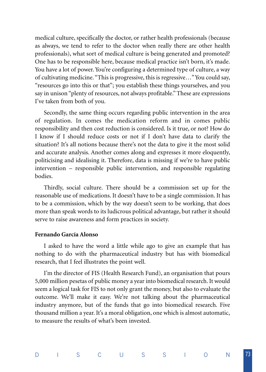medical culture, specifically the doctor, or rather health professionals (because as always, we tend to refer to the doctor when really there are other health professionals), what sort of medical culture is being generated and promoted? One has to be responsible here, because medical practice isn't born, it's made. You have a lot of power. You're configuring a determined type of culture, a way of cultivating medicine. "This is progressive, this is regressive…" You could say, "resources go into this or that"; you establish these things yourselves, and you say in unison "plenty of resources, not always profitable." These are expressions I've taken from both of you.

Secondly, the same thing occurs regarding public intervention in the area of regulation. In comes the medication reform and in comes public responsibility and then cost reduction is considered. Is it true, or not? How do I know if I should reduce costs or not if I don't have data to clarify the situation? It's all notions because there's not the data to give it the most solid and accurate analysis. Another comes along and expresses it more eloquently, politicising and idealising it. Therefore, data is missing if we're to have public intervention – responsible public intervention, and responsible regulating bodies.

Thirdly, social culture. There should be a commission set up for the reasonable use of medications. It doesn't have to be a single commission. It has to be a commission, which by the way doesn't seem to be working, that does more than speak words to its ludicrous political advantage, but rather it should serve to raise awareness and form practices in society.

#### **Fernando García Alonso**

I asked to have the word a little while ago to give an example that has nothing to do with the pharmaceutical industry but has with biomedical research, that I feel illustrates the point well.

I'm the director of FIS (Health Research Fund), an organisation that pours 5,000 million pesetas of public money a year into biomedical research. It would seem a logical task for FIS to not only grant the money, but also to evaluate the outcome. We'll make it easy. We're not talking about the pharmaceutical industry anymore, but of the funds that go into biomedical research. Five thousand million a year. It's a moral obligation, one which is almost automatic, to measure the results of what's been invested.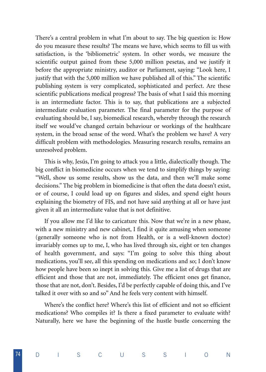There's a central problem in what I'm about to say. The big question is: How do you measure these results? The means we have, which seems to fill us with satisfaction, is the 'bibliometric' system. In other words, we measure the scientific output gained from these 5,000 million pesetas, and we justify it before the appropriate ministry, auditor or Parliament, saying: "Look here, I justify that with the 5,000 million we have published all of this." The scientific publishing system is very complicated, sophisticated and perfect. Are these scientific publications medical progress? The basis of what I said this morning is an intermediate factor. This is to say, that publications are a subjected intermediate evaluation parameter. The final parameter for the purpose of evaluating should be, I say, biomedical research, whereby through the research itself we would've changed certain behaviour or workings of the healthcare system, in the broad sense of the word. What's the problem we have? A very difficult problem with methodologies. Measuring research results, remains an unresolved problem.

This is why, Jesús, I'm going to attack you a little, dialectically though. The big conflict in biomedicine occurs when we tend to simplify things by saying: "Well, show us some results, show us the data, and then we'll make some decisions." The big problem in biomedicine is that often the data doesn't exist, or of course, I could load up on figures and slides, and spend eight hours explaining the biometry of FIS, and not have said anything at all or have just given it all an intermediate value that is not definitive.

If you allow me I'd like to caricature this. Now that we're in a new phase, with a new ministry and new cabinet, I find it quite amusing when someone (generally someone who is not from Health, or is a well-known doctor) invariably comes up to me, I, who has lived through six, eight or ten changes of health government, and says: "I'm going to solve this thing about medications, you'll see, all this spending on medications and so; I don't know how people have been so inept in solving this. Give me a list of drugs that are efficient and those that are not, immediately. The efficient ones get finance, those that are not, don't. Besides, I'd be perfectly capable of doing this, and I've talked it over with so and so" And he feels very content with himself.

Where's the conflict here? Where's this list of efficient and not so efficient medications? Who compiles it? Is there a fixed parameter to evaluate with? Naturally, here we have the beginning of the hustle bustle concerning the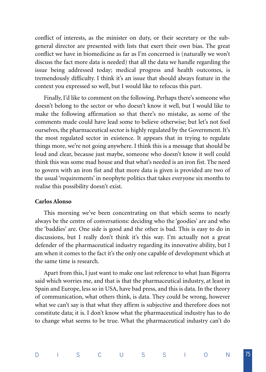conflict of interests, as the minister on duty, or their secretary or the subgeneral director are presented with lists that exert their own bias. The great conflict we have in biomedicine as far as I'm concerned is (naturally we won't discuss the fact more data is needed) that all the data we handle regarding the issue being addressed today; medical progress and health outcomes, is tremendously difficulty. I think it's an issue that should always feature in the context you expressed so well, but I would like to refocus this part.

Finally, I'd like to comment on the following. Perhaps there's someone who doesn't belong to the sector or who doesn't know it well, but I would like to make the following affirmation so that there's no mistake, as some of the comments made could have lead some to believe otherwise; but let's not fool ourselves, the pharmaceutical sector is highly regulated by the Government. It's the most regulated sector in existence. It appears that in trying to regulate things more, we're not going anywhere. I think this is a message that should be loud and clear, because just maybe, someone who doesn't know it well could think this was some mad house and that what's needed is an iron fist. The need to govern with an iron fist and that more data is given is provided are two of the usual 'requirements' in neophyte politics that takes everyone six months to realise this possibility doesn't exist.

## **Carlos Alonso**

This morning we've been concentrating on that which seems to nearly always be the centre of conversations: deciding who the 'goodies' are and who the 'baddies' are. One side is good and the other is bad. This is easy to do in discussions, but I really don't think it's this way. I'm actually not a great defender of the pharmaceutical industry regarding its innovative ability, but I am when it comes to the fact it's the only one capable of development which at the same time is research.

Apart from this, I just want to make one last reference to what Juan Bigorra said which worries me, and that is that the pharmaceutical industry, at least in Spain and Europe, less so in USA, have bad press, and this is data. In the theory of communication, what others think, is data. They could be wrong, however what we can't say is that what they affirm is subjective and therefore does not constitute data; it is. I don't know what the pharmaceutical industry has to do to change what seems to be true. What the pharmaceutical industry can't do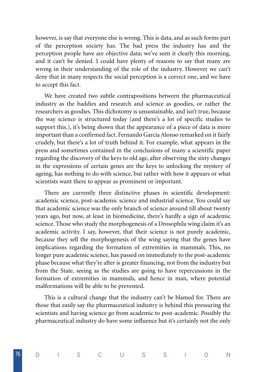however, is say that everyone else is wrong. This is data, and as such forms part of the perception society has. The bad press the industry has and the perception people have are objective data; we've seen it clearly this morning, and it can't be denied. I could have plenty of reasons to say that many are wrong in their understanding of the role of the industry. However we can't deny that in many respects the social perception is a correct one, and we have to accept this fact.

We have created two subtle contrapositions between the pharmaceutical industry as the baddies and research and science as goodies, or rather the researchers as goodies. This dichotomy is unsustainable, and isn't true, because the way science is structured today (and there's a lot of specific studies to support this.), it's being shown that the appearance of a piece of data is more important than a confirmed fact. Fernando García Alonso remarked on it fairly crudely, but there's a lot of truth behind it. For example, what appears in the press and sometimes contained in the conclusions of many a scientific paper regarding the discovery of the keys to old age, after observing the sixty changes in the expressions of certain genes are the keys to unlocking the mystery of ageing, has nothing to do with science, but rather with how it appears or what scientists want there to appear as prominent or important.

There are currently three distinctive phases in scientific development: academic science, post-academic science and industrial science. You could say that academic science was the only branch of science around till about twenty years ago, but now, at least in biomedicine, there's hardly a sign of academic science. Those who study the morphogenesis of a Drosophila wing claim it's an academic activity. I say, however, that their science is not purely academic, because they sell the morphogenesis of the wing saying that the genes have implications regarding the formation of extremities in mammals. This, no longer pure academic science, has passed on immediately to the post-academic phase because what they're after is greater financing, not from the industry but from the State, seeing as the studies are going to have repercussions in the formation of extremities in mammals, and hence in man, where potential malformations will be able to be prevented.

This is a cultural change that the industry can't be blamed for. There are those that easily say the pharmaceutical industry is behind this pressuring the scientists and having science go from academic to post-academic. Possibly the pharmaceutical industry do have some influence but it's certainly not the only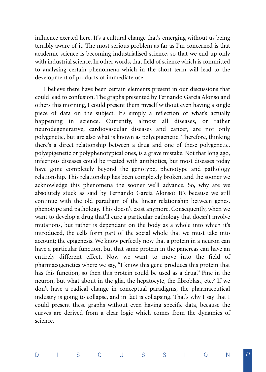influence exerted here. It's a cultural change that's emerging without us being terribly aware of it. The most serious problem as far as I'm concerned is that academic science is becoming industrialised science, so that we end up only with industrial science. In other words, that field of science which is committed to analysing certain phenomena which in the short term will lead to the development of products of immediate use.

I believe there have been certain elements present in our discussions that could lead to confusion. The graphs presented by Fernando García Alonso and others this morning, I could present them myself without even having a single piece of data on the subject. It's simply a reflection of what's actually happening in science. Currently, almost all diseases, or rather neurodegenerative, cardiovascular diseases and cancer, are not only polygenetic, but are also what is known as polyepigenetic. Therefore, thinking there's a direct relationship between a drug and one of these polygenetic, polyepigenetic or polyphenotypical ones, is a grave mistake. Not that long ago, infectious diseases could be treated with antibiotics, but most diseases today have gone completely beyond the genotype, phenotype and pathology relationship. This relationship has been completely broken, and the sooner we acknowledge this phenomena the sooner we'll advance. So, why are we absolutely stuck as said by Fernando García Alonso? It's because we still continue with the old paradigm of the linear relationship between genes, phenotype and pathology. This doesn't exist anymore. Consequently, when we want to develop a drug that'll cure a particular pathology that doesn't involve mutations, but rather is dependant on the body as a whole into which it's introduced, the cells form part of the social whole that we must take into account; the epigenesis. We know perfectly now that a protein in a neuron can have a particular function, but that same protein in the pancreas can have an entirely different effect. Now we want to move into the field of pharmacogenetics where we say, "I know this gene produces this protein that has this function, so then this protein could be used as a drug." Fine in the neuron, but what about in the glia, the hepatocyte, the fibroblast, etc,? If we don't have a radical change in conceptual paradigms, the pharmaceutical industry is going to collapse, and in fact is collapsing. That's why I say that I could present these graphs without even having specific data, because the curves are derived from a clear logic which comes from the dynamics of science.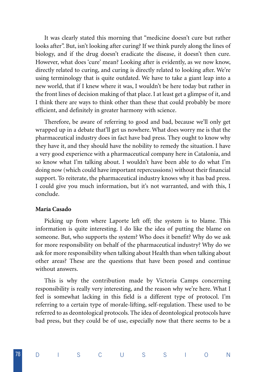It was clearly stated this morning that "medicine doesn't cure but rather looks after". But, isn't looking after curing? If we think purely along the lines of biology, and if the drug doesn't eradicate the disease, it doesn't then cure. However, what does 'cure' mean? Looking after is evidently, as we now know, directly related to curing, and curing is directly related to looking after. We're using terminology that is quite outdated. We have to take a giant leap into a new world, that if I knew where it was, I wouldn't be here today but rather in the front lines of decision making of that place. I at least get a glimpse of it, and I think there are ways to think other than these that could probably be more efficient, and definitely in greater harmony with science.

Therefore, be aware of referring to good and bad, because we'll only get wrapped up in a debate that'll get us nowhere. What does worry me is that the pharmaceutical industry does in fact have bad press. They ought to know why they have it, and they should have the nobility to remedy the situation. I have a very good experience with a pharmaceutical company here in Catalonia, and so know what I'm talking about. I wouldn't have been able to do what I'm doing now (which could have important repercussions) without their financial support. To reiterate, the pharmaceutical industry knows why it has bad press. I could give you much information, but it's not warranted, and with this, I conclude.

## **María Casado**

Picking up from where Laporte left off; the system is to blame. This information is quite interesting. I do like the idea of putting the blame on someone. But, who supports the system? Who does it benefit? Why do we ask for more responsibility on behalf of the pharmaceutical industry? Why do we ask for more responsibility when talking about Health than when talking about other areas? These are the questions that have been posed and continue without answers.

This is why the contribution made by Victoria Camps concerning responsibility is really very interesting, and the reason why we're here. What I feel is somewhat lacking in this field is a different type of protocol. I'm referring to a certain type of morale-lifting, self-regulation. These used to be referred to as deontological protocols. The idea of deontological protocols have bad press, but they could be of use, especially now that there seems to be a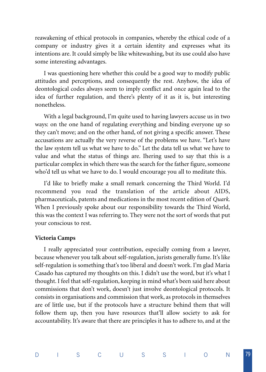reawakening of ethical protocols in companies, whereby the ethical code of a company or industry gives it a certain identity and expresses what its intentions are. It could simply be like whitewashing, but its use could also have some interesting advantages.

I was questioning here whether this could be a good way to modify public attitudes and perceptions, and consequently the rest. Anyhow, the idea of deontological codes always seem to imply conflict and once again lead to the idea of further regulation, and there's plenty of it as it is, but interesting nonetheless.

With a legal background, I'm quite used to having lawyers accuse us in two ways: on the one hand of regulating everything and binding everyone up so they can't move; and on the other hand, of not giving a specific answer. These accusations are actually the very reverse of the problems we have. "Let's have the law system tell us what we have to do." Let the data tell us what we have to value and what the status of things are. Ihering used to say that this is a particular complex in which there was the search for the father figure, someone who'd tell us what we have to do. I would encourage you all to meditate this.

I'd like to briefly make a small remark concerning the Third World. I'd recommend you read the translation of the article about AIDS, pharmaceuticals, patents and medications in the most recent edition of *Quark*. When I previously spoke about our responsibility towards the Third World, this was the context I was referring to. They were not the sort of words that put your conscious to rest.

#### **Victoria Camps**

I really appreciated your contribution, especially coming from a lawyer, because whenever you talk about self-regulation, jurists generally fume. It's like self-regulation is something that's too liberal and doesn't work. I'm glad Maria Casado has captured my thoughts on this. I didn't use the word, but it's what I thought. I feel that self-regulation, keeping in mind what's been said here about commissions that don't work, doesn't just involve deontological protocols. It consists in organisations and commission that work, as protocols in themselves are of little use, but if the protocols have a structure behind them that will follow them up, then you have resources that'll allow society to ask for accountability. It's aware that there are principles it has to adhere to, and at the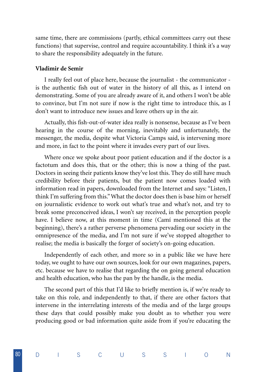same time, there are commissions (partly, ethical committees carry out these functions) that supervise, control and require accountability. I think it's a way to share the responsibility adequately in the future.

## **Vladimir de Semir**

I really feel out of place here, because the journalist - the communicator is the authentic fish out of water in the history of all this, as I intend on demonstrating. Some of you are already aware of it, and others I won't be able to convince, but I'm not sure if now is the right time to introduce this, as I don't want to introduce new issues and leave others up in the air.

Actually, this fish-out-of-water idea really is nonsense, because as I've been hearing in the course of the morning, inevitably and unfortunately, the messenger, the media, despite what Victoria Camps said, is intervening more and more, in fact to the point where it invades every part of our lives.

Where once we spoke about poor patient education and if the doctor is a factotum and does this, that or the other; this is now a thing of the past. Doctors in seeing their patients know they've lost this. They do still have much credibility before their patients, but the patient now comes loaded with information read in papers, downloaded from the Internet and says: "Listen, I think I'm suffering from this." What the doctor does then is base him or herself on journalistic evidence to work out what's true and what's not, and try to break some preconceived ideas, I won't say received, in the perception people have. I believe now, at this moment in time (Camí mentioned this at the beginning), there's a rather perverse phenomena pervading our society in the omnipresence of the media, and I'm not sure if we've stopped altogether to realise; the media is basically the forger of society's on-going education.

Independently of each other, and more so in a public like we have here today, we ought to have our own sources, look for our own magazines, papers, etc. because we have to realise that regarding the on going general education and health education, who has the pan by the handle, is the media.

The second part of this that I'd like to briefly mention is, if we're ready to take on this role, and independently to that, if there are other factors that intervene in the interrelating interests of the media and of the large groups these days that could possibly make you doubt as to whether you were producing good or bad information quite aside from if you're educating the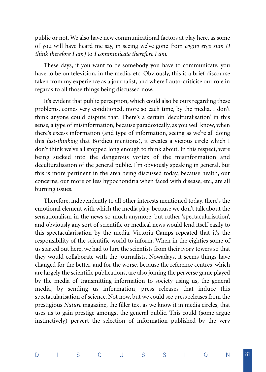public or not. We also have new communicational factors at play here, as some of you will have heard me say, in seeing we've gone from *cogito ergo sum (I think therefore I am)* to *I communicate therefore I am*.

These days, if you want to be somebody you have to communicate, you have to be on television, in the media, etc. Obviously, this is a brief discourse taken from my experience as a journalist, and where I auto-criticise our role in regards to all those things being discussed now.

It's evident that public perception, which could also be ours regarding these problems, comes very conditioned, more so each time, by the media. I don't think anyone could dispute that. There's a certain 'deculturalisation' in this sense, a type of misinformation, because paradoxically, as you well know, when there's excess information (and type of information, seeing as we're all doing this *fast-thinking* that Bordieu mentions), it creates a vicious circle which I don't think we've all stopped long enough to think about. In this respect, were being sucked into the dangerous vortex of the misinformation and deculturalisation of the general public. I'm obviously speaking in general, but this is more pertinent in the area being discussed today, because health, our concerns, our more or less hypochondria when faced with disease, etc., are all burning issues.

Therefore, independently to all other interests mentioned today, there's the emotional element with which the media play, because we don't talk about the sensationalism in the news so much anymore, but rather 'spectacularisation', and obviously any sort of scientific or medical news would lend itself easily to this spectacularisation by the media. Victoria Camps repeated that it's the responsibility of the scientific world to inform. When in the eighties some of us started out here, we had to lure the scientists from their ivory towers so that they would collaborate with the journalists. Nowadays, it seems things have changed for the better, and for the worse, because the reference centres, which are largely the scientific publications, are also joining the perverse game played by the media of transmitting information to society using us, the general media, by sending us information, press releases that induce this spectacularisation of science. Not now, but we could see press releases from the prestigious *Nature* magazine, the filler text as we know it in media circles, that uses us to gain prestige amongst the general public. This could (some argue instinctively) pervert the selection of information published by the very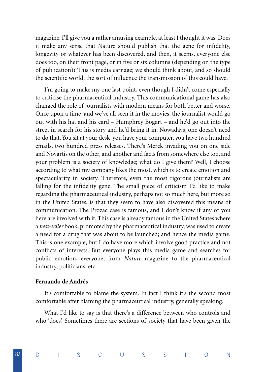magazine. I'll give you a rather amusing example, at least I thought it was. Does it make any sense that Nature should publish that the gene for infidelity, longevity or whatever has been discovered, and then, it seems, everyone else does too, on their front page, or in five or six columns (depending on the type of publication)? This is media carnage; we should think about, and so should the scientific world, the sort of influence the transmission of this could have.

I'm going to make my one last point, even though I didn't come especially to criticise the pharmaceutical industry. This communicational game has also changed the role of journalists with modern means for both better and worse. Once upon a time, and we've all seen it in the movies, the journalist would go out with his hat and his card – Humphrey Bogart – and he'd go out into the street in search for his story and he'd bring it in. Nowadays, one doesn't need to do that. You sit at your desk, you have your computer, you have two hundred emails, two hundred press releases. There's Merck invading you on one side and Novartis on the other, and another and facts from somewhere else too, and your problem is a society of knowledge; what do I give them? Well, I choose according to what my company likes the most, which is to create emotion and spectacularity in society. Therefore, even the most rigorous journalists are falling for the infidelity gene. The small piece of criticism I'd like to make regarding the pharmaceutical industry, perhaps not so much here, but more so in the United States, is that they seem to have also discovered this means of communication. The Prozac case is famous, and I don't know if any of you here are involved with it. This case is already famous in the United States where a *best-seller* book, promoted by the pharmaceutical industry, was used to create a need for a drug that was about to be launched; and hence the media game. This is one example, but I do have more which involve good practice and not conflicts of interests. But everyone plays this media game and searches for public emotion, everyone, from *Nature* magazine to the pharmaceutical industry, politicians, etc.

## **Fernando de Andrés**

It's comfortable to blame the system. In fact I think it's the second most comfortable after blaming the pharmaceutical industry, generally speaking.

What I'd like to say is that there's a difference between who controls and who 'does'. Sometimes there are sections of society that have been given the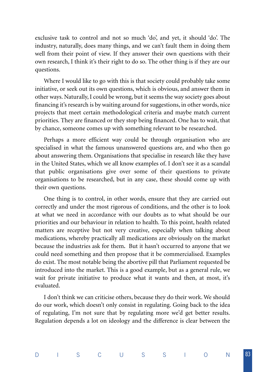exclusive task to control and not so much 'do', and yet, it should 'do'. The industry, naturally, does many things, and we can't fault them in doing them well from their point of view. If they answer their own questions with their own research, I think it's their right to do so. The other thing is if they are our questions.

Where I would like to go with this is that society could probably take some initiative, or seek out its own questions, which is obvious, and answer them in other ways. Naturally, I could be wrong, but it seems the way society goes about financing it's research is by waiting around for suggestions, in other words, nice projects that meet certain methodological criteria and maybe match current priorities. They are financed or they stop being financed. One has to wait, that by chance, someone comes up with something relevant to be researched.

Perhaps a more efficient way could be through organisation who are specialised in what the famous unanswered questions are, and who then go about answering them. Organisations that specialise in research like they have in the United States, which we all know examples of. I don't see it as a scandal that public organisations give over some of their questions to private organisations to be researched, but in any case, these should come up with their own questions.

One thing is to control, in other words, ensure that they are carried out correctly and under the most rigorous of conditions, and the other is to look at what we need in accordance with our doubts as to what should be our priorities and our behaviour in relation to health. To this point, health related matters are receptive but not very creative, especially when talking about medications, whereby practically all medications are obviously on the market because the industries ask for them**.** But it hasn't occurred to anyone that we could need something and then propose that it be commercialised. Examples do exist. The most notable being the abortive pill that Parliament requested be introduced into the market. This is a good example, but as a general rule, we wait for private initiative to produce what it wants and then, at most, it's evaluated.

I don't think we can criticise others, because they do their work. We should do our work, which doesn't only consist in regulating. Going back to the idea of regulating, I'm not sure that by regulating more we'd get better results. Regulation depends a lot on ideology and the difference is clear between the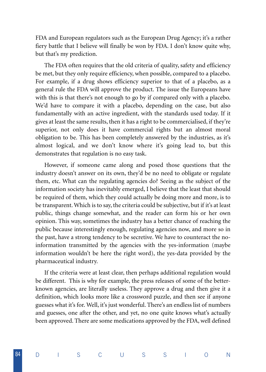FDA and European regulators such as the European Drug Agency; it's a rather fiery battle that I believe will finally be won by FDA. I don't know quite why, but that's my prediction.

The FDA often requires that the old criteria of quality, safety and efficiency be met, but they only require efficiency, when possible, compared to a placebo. For example, if a drug shows efficiency superior to that of a placebo, as a general rule the FDA will approve the product. The issue the Europeans have with this is that there's not enough to go by if compared only with a placebo. We'd have to compare it with a placebo, depending on the case, but also fundamentally with an active ingredient, with the standards used today. If it gives at least the same results, then it has a right to be commercialised, if they're superior, not only does it have commercial rights but an almost moral obligation to be. This has been completely answered by the industries, as it's almost logical, and we don't know where it's going lead to, but this demonstrates that regulation is no easy task.

However, if someone came along and posed those questions that the industry doesn't answer on its own, they'd be no need to obligate or regulate them, etc. What can the regulating agencies do? Seeing as the subject of the information society has inevitably emerged, I believe that the least that should be required of them, which they could actually be doing more and more, is to be transparent. Which is to say, the criteria could be subjective, but if it's at least public, things change somewhat, and the reader can form his or her own opinion. This way, sometimes the industry has a better chance of reaching the public because interestingly enough, regulating agencies now, and more so in the past, have a strong tendency to be secretive. We have to counteract the noinformation transmitted by the agencies with the yes-information (maybe information wouldn't be here the right word), the yes-data provided by the pharmaceutical industry.

If the criteria were at least clear, then perhaps additional regulation would be different. This is why for example, the press releases of some of the betterknown agencies, are literally useless. They approve a drug and then give it a definition, which looks more like a crossword puzzle, and then see if anyone guesses what it's for. Well, it's just wonderful. There's an endless list of numbers and guesses, one after the other, and yet, no one quite knows what's actually been approved. There are some medications approved by the FDA, well defined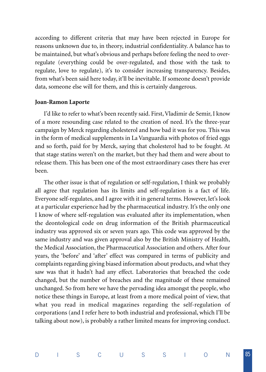according to different criteria that may have been rejected in Europe for reasons unknown due to, in theory, industrial confidentiality. A balance has to be maintained, but what's obvious and perhaps before feeling the need to overregulate (everything could be over-regulated, and those with the task to regulate, love to regulate), it's to consider increasing transparency. Besides, from what's been said here today, it'll be inevitable. If someone doesn't provide data, someone else will for them, and this is certainly dangerous.

#### **Joan-Ramon Laporte**

I'd like to refer to what's been recently said. First, Vladimir de Semir, I know of a more resounding case related to the creation of need. It's the three-year campaign by Merck regarding cholesterol and how bad it was for you. This was in the form of medical supplements in La Vanguardia with photos of fried eggs and so forth, paid for by Merck, saying that cholesterol had to be fought. At that stage statins weren't on the market, but they had them and were about to release them. This has been one of the most extraordinary cases there has ever been.

The other issue is that of regulation or self-regulation, I think we probably all agree that regulation has its limits and self-regulation is a fact of life. Everyone self-regulates, and I agree with it in general terms. However, let's look at a particular experience had by the pharmaceutical industry. It's the only one I know of where self-regulation was evaluated after its implementation, when the deontological code on drug information of the British pharmaceutical industry was approved six or seven years ago. This code was approved by the same industry and was given approval also by the British Ministry of Health, the Medical Association, the Pharmaceutical Association and others. After four years, the 'before' and 'after' effect was compared in terms of publicity and complaints regarding giving biased information about products, and what they saw was that it hadn't had any effect. Laboratories that breached the code changed, but the number of breaches and the magnitude of these remained unchanged. So from here we have the pervading idea amongst the people, who notice these things in Europe, at least from a more medical point of view, that what you read in medical magazines regarding the self-regulation of corporations (and I refer here to both industrial and professional, which I'll be talking about now), is probably a rather limited means for improving conduct.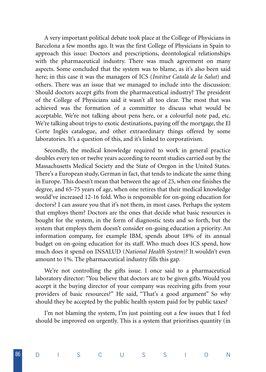A very important political debate took place at the College of Physicians in Barcelona a few months ago. It was the first College of Physicians in Spain to approach this issue: Doctors and prescriptions, deontological relationships with the pharmaceutical industry. There was much agreement on many aspects. Some concluded that the system was to blame, as it's also been said here; in this case it was the managers of ICS (*Institut Català de la Salut*) and others. There was an issue that we managed to include into the discussion: Should doctors accept gifts from the pharmaceutical industry? The president of the College of Physicians said it wasn't all too clear. The most that was achieved was the formation of a committee to discuss what would be acceptable. We're not talking about pens here, or a colourful note pad, etc. We're talking about trips to exotic destinations, paying off the mortgage, the El Corte Inglés catalogue, and other extraordinary things offered by some laboratories. It's a question of this, and it's linked to corporativism.

Secondly, the medical knowledge required to work in general practice doubles every ten or twelve years according to recent studies carried out by the Massachusetts Medical Society and the State of Oregon in the United States. There's a European study, German in fact, that tends to indicate the same thing in Europe. This doesn't mean that between the age of 25, when one finishes the degree, and 65-75 years of age, when one retires that their medical knowledge would've increased 12-16 fold. Who is responsible for on-going education for doctors? I can assure you that it's not them, in most cases. Perhaps the system that employs them? Doctors are the ones that decide what basic resources is bought for the system, in the form of diagnostic tests and so forth, but the system that employs them doesn't consider on-going education a priority. An information company, for example IBM, spends about 18% of its annual budget on on-going education for its staff. Who much does ICS spend, how much does it spend on INSALUD (*National Health System*)? It wouldn't even amount to 1%. The pharmaceutical industry fills this gap.

We're not controlling the gifts issue. I once said to a pharmaceutical laboratory director: "You believe that doctors are to be given gifts. Would you accept it the buying director of your company was receiving gifts from your providers of basic resources?" He said, "That's a good argument" So why should they be accepted by the public health system paid for by public taxes?

I'm not blaming the system, I'm just pointing out a few issues that I feel should be improved on urgently. This is a system that prioritises quantity (in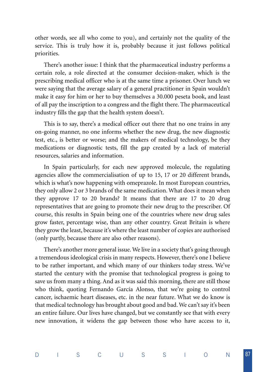other words, see all who come to you), and certainly not the quality of the service. This is truly how it is, probably because it just follows political priorities.

There's another issue: I think that the pharmaceutical industry performs a certain role, a role directed at the consumer decision-maker, which is the prescribing medical officer who is at the same time a prisoner. Over lunch we were saying that the average salary of a general practitioner in Spain wouldn't make it easy for him or her to buy themselves a 30.000 peseta book, and least of all pay the inscription to a congress and the flight there. The pharmaceutical industry fills the gap that the health system doesn't.

This is to say, there's a medical officer out there that no one trains in any on-going manner, no one informs whether the new drug, the new diagnostic test, etc., is better or worse; and the makers of medical technology, be they medications or diagnostic tests, fill the gap created by a lack of material resources, salaries and information.

In Spain particularly, for each new approved molecule, the regulating agencies allow the commercialisation of up to 15, 17 or 20 different brands, which is what's now happening with omeprazole. In most European countries, they only allow 2 or 3 brands of the same medication. What does it mean when they approve 17 to 20 brands? It means that there are 17 to 20 drug representatives that are going to promote their new drug to the prescriber. Of course, this results in Spain being one of the countries where new drug sales grow faster, percentage wise, than any other country. Great Britain is where they grow the least, because it's where the least number of copies are authorised (only partly, because there are also other reasons).

There's another more general issue. We live in a society that's going through a tremendous ideological crisis in many respects. However, there's one I believe to be rather important, and which many of our thinkers today stress. We've started the century with the promise that technological progress is going to save us from many a thing. And as it was said this morning, there are still those who think, quoting Fernando García Alonso, that we're going to control cancer, ischaemic heart diseases, etc. in the near future. What we do know is that medical technology has brought about good and bad. We can't say it's been an entire failure. Our lives have changed, but we constantly see that with every new innovation, it widens the gap between those who have access to it,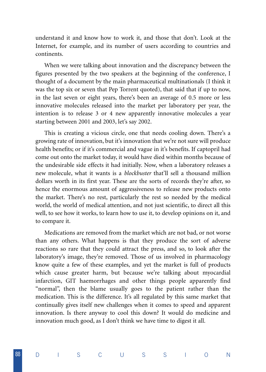understand it and know how to work it, and those that don't. Look at the Internet, for example, and its number of users according to countries and continents.

When we were talking about innovation and the discrepancy between the figures presented by the two speakers at the beginning of the conference, I thought of a document by the main pharmaceutical multinationals (I think it was the top six or seven that Pep Torrent quoted), that said that if up to now, in the last seven or eight years, there's been an average of 0.5 more or less innovative molecules released into the market per laboratory per year, the intention is to release 3 or 4 new apparently innovative molecules a year starting between 2001 and 2003, let's say 2002.

This is creating a vicious circle, one that needs cooling down. There's a growing rate of innovation, but it's innovation that we're not sure will produce health benefits; or if it's commercial and vague in it's benefits. If captopril had come out onto the market today, it would have died within months because of the undesirable side effects it had initially. Now, when a laboratory releases a new molecule, what it wants is a *blockbuster* that'll sell a thousand million dollars worth in its first year. These are the sorts of records they're after, so hence the enormous amount of aggressiveness to release new products onto the market. There's no rest, particularly the rest so needed by the medical world, the world of medical attention, and not just scientific, to direct all this well, to see how it works, to learn how to use it, to develop opinions on it, and to compare it.

Medications are removed from the market which are not bad, or not worse than any others. What happens is that they produce the sort of adverse reactions so rare that they could attract the press, and so, to look after the laboratory's image, they're removed. Those of us involved in pharmacology know quite a few of these examples, and yet the market is full of products which cause greater harm, but because we're talking about myocardial infarction, GIT haemorrhages and other things people apparently find "normal", then the blame usually goes to the patient rather than the medication. This is the difference. It's all regulated by this same market that continually gives itself new challenges when it comes to speed and apparent innovation. Is there anyway to cool this down? It would do medicine and innovation much good, as I don't think we have time to digest it all.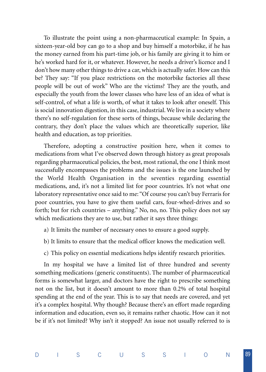To illustrate the point using a non-pharmaceutical example: In Spain, a sixteen-year-old boy can go to a shop and buy himself a motorbike, if he has the money earned from his part-time job, or his family are giving it to him or he's worked hard for it, or whatever. However, he needs a driver's licence and I don't how many other things to drive a car, which is actually safer. How can this be? They say: "If you place restrictions on the motorbike factories all these people will be out of work" Who are the victims? They are the youth, and especially the youth from the lower classes who have less of an idea of what is self-control, of what a life is worth, of what it takes to look after oneself. This is social innovation digestion, in this case, industrial. We live in a society where there's no self-regulation for these sorts of things, because while declaring the contrary, they don't place the values which are theoretically superior, like health and education, as top priorities.

Therefore, adopting a constructive position here, when it comes to medications from what I've observed down through history as great proposals regarding pharmaceutical policies, the best, most rational, the one I think most successfully encompasses the problems and the issues is the one launched by the World Health Organisation in the seventies regarding essential medications, and, it's not a limited list for poor countries. It's not what one laboratory representative once said to me: "Of course you can't buy Ferraris for poor countries, you have to give them useful cars, four-wheel-drives and so forth; but for rich countries – anything." No, no, no. This policy does not say which medications they are to use, but rather it says three things:

- a) It limits the number of necessary ones to ensure a good supply.
- b) It limits to ensure that the medical officer knows the medication well.
- c) This policy on essential medications helps identify research priorities.

In my hospital we have a limited list of three hundred and seventy something medications (generic constituents). The number of pharmaceutical forms is somewhat larger, and doctors have the right to prescribe something not on the list, but it doesn't amount to more than 0.2% of total hospital spending at the end of the year. This is to say that needs are covered, and yet it's a complex hospital. Why though? Because there's an effort made regarding information and education, even so, it remains rather chaotic. How can it not be if it's not limited? Why isn't it stopped? An issue not usually referred to is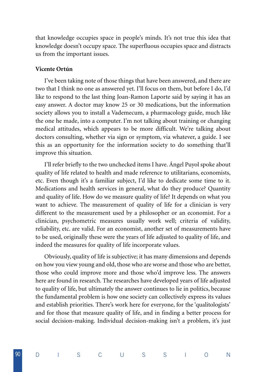that knowledge occupies space in people's minds. It's not true this idea that knowledge doesn't occupy space. The superfluous occupies space and distracts us from the important issues.

#### **Vicente Ortún**

I've been taking note of those things that have been answered, and there are two that I think no one as answered yet. I'll focus on them, but before I do, I'd like to respond to the last thing Joan-Ramon Laporte said by saying it has an easy answer. A doctor may know 25 or 30 medications, but the information society allows you to install a Vademecum, a pharmacology guide, much like the one he made, into a computer. I'm not talking about training or changing medical attitudes, which appears to be more difficult. We're talking about doctors consulting, whether via sign or symptom, via whatever, a guide. I see this as an opportunity for the information society to do something that'll improve this situation.

I'll refer briefly to the two unchecked items I have. Ángel Puyol spoke about quality of life related to health and made reference to utilitarians, economists, etc. Even though it's a familiar subject, I'd like to dedicate some time to it. Medications and health services in general, what do they produce? Quantity and quality of life. How do we measure quality of life? It depends on what you want to achieve. The measurement of quality of life for a clinician is very different to the measurement used by a philosopher or an economist. For a clinician, psychometric measures usually work well; criteria of validity, reliability, etc. are valid. For an economist, another set of measurements have to be used, originally these were the years of life adjusted to quality of life, and indeed the measures for quality of life incorporate values.

Obviously, quality of life is subjective; it has many dimensions and depends on how you view young and old, those who are worse and those who are better, those who could improve more and those who'd improve less. The answers here are found in research. The researches have developed years of life adjusted to quality of life, but ultimately the answer continues to lie in politics, because the fundamental problem is how one society can collectively express its values and establish priorities. There's work here for everyone, for the 'qualitologists' and for those that measure quality of life, and in finding a better process for social decision-making. Individual decision-making isn't a problem, it's just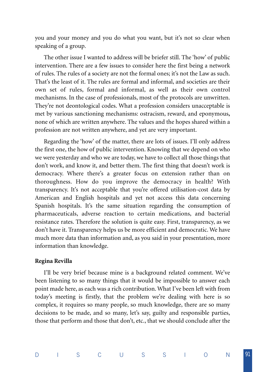you and your money and you do what you want, but it's not so clear when speaking of a group.

The other issue I wanted to address will be briefer still. The 'how' of public intervention. There are a few issues to consider here the first being a network of rules. The rules of a society are not the formal ones; it's not the Law as such. That's the least of it. The rules are formal and informal, and societies are their own set of rules, formal and informal, as well as their own control mechanisms. In the case of professionals, most of the protocols are unwritten. They're not deontological codes. What a profession considers unacceptable is met by various sanctioning mechanisms: ostracism, reward, and eponymous**,** none of which are written anywhere. The values and the hopes shared within a profession are not written anywhere, and yet are very important.

Regarding the 'how' of the matter, there are lots of issues. I'll only address the first one, the how of public intervention. Knowing that we depend on who we were yesterday and who we are today, we have to collect all those things that don't work, and know it, and better them. The first thing that doesn't work is democracy. Where there's a greater focus on extension rather than on thoroughness. How do you improve the democracy in health? With transparency. It's not acceptable that you're offered utilisation-cost data by American and English hospitals and yet not access this data concerning Spanish hospitals. It's the same situation regarding the consumption of pharmaceuticals, adverse reaction to certain medications, and bacterial resistance rates. Therefore the solution is quite easy. First, transparency, as we don't have it. Transparency helps us be more efficient and democratic. We have much more data than information and, as you said in your presentation, more information than knowledge.

#### **Regina Revilla**

I'll be very brief because mine is a background related comment. We've been listening to so many things that it would be impossible to answer each point made here, as each was a rich contribution. What I've been left with from today's meeting is firstly, that the problem we're dealing with here is so complex, it requires so many people, so much knowledge, there are so many decisions to be made, and so many, let's say, guilty and responsible parties, those that perform and those that don't, etc., that we should conclude after the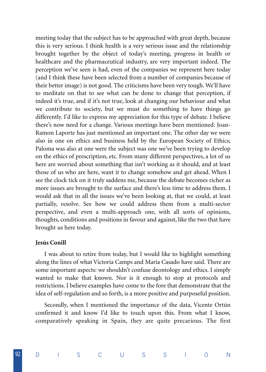meeting today that the subject has to be approached with great depth, because this is very serious. I think health is a very serious issue and the relationship brought together by the object of today's meeting, progress in health or healthcare and the pharmaceutical industry, are very important indeed. The perception we've seen is had, even of the companies we represent here today (and I think these have been selected from a number of companies because of their better image) is not good. The criticisms have been very tough. We'll have to meditate on that to see what can be done to change that perception, if indeed it's true, and if it's not true, look at changing our behaviour and what we contribute to society, but we must do something to have things go differently. I'd like to express my appreciation for this type of debate. I believe there's now need for a change. Various meetings have been mentioned: Joan-Ramon Laporte has just mentioned an important one. The other day we were also in one on ethics and business held by the European Society of Ethics; Paloma was also at one were the subject was one we've been trying to develop on the ethics of prescription, etc. From many different perspectives, a lot of us here are worried about something that isn't working as it should, and at least those of us who are here, want it to change somehow and get ahead. When I see the clock tick on it truly saddens me, because the debate becomes richer as more issues are brought to the surface and there's less time to address them. I would ask that in all the issues we've been looking at, that we could, at least partially, resolve. See how we could address them from a multi-sector perspective, and even a multi-approach one, with all sorts of opinions, thoughts, conditions and positions in favour and against, like the two that have brought us here today.

#### **Jesús Conill**

I was about to retire from today, but I would like to highlight something along the lines of what Victoria Camps and María Casado have said. There are some important aspects: we shouldn't confuse deontology and ethics. I simply wanted to make that known. Nor is it enough to stop at protocols and restrictions. I believe examples have come to the fore that demonstrate that the idea of self-regulation and so forth, is a more positive and purposeful position.

Secondly, when I mentioned the importance of the data, Vicente Ortún confirmed it and know I'd like to touch upon this. From what I know, comparatively speaking in Spain, they are quite precarious. The first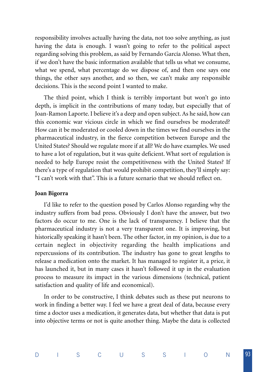responsibility involves actually having the data, not too solve anything, as just having the data is enough. I wasn't going to refer to the political aspect regarding solving this problem, as said by Fernando García Alonso. What then, if we don't have the basic information available that tells us what we consume, what we spend, what percentage do we dispose of, and then one says one things, the other says another, and so then, we can't make any responsible decisions. This is the second point I wanted to make.

The third point, which I think is terribly important but won't go into depth, is implicit in the contributions of many today, but especially that of Joan-Ramon Laporte. I believe it's a deep and open subject. As he said, how can this economic war vicious circle in which we find ourselves be moderated? How can it be moderated or cooled down in the times we find ourselves in the pharmaceutical industry, in the fierce competition between Europe and the United States? Should we regulate more if at all? We do have examples. We used to have a lot of regulation, but it was quite deficient. What sort of regulation is needed to help Europe resist the competitiveness with the United States? If there's a type of regulation that would prohibit competition, they'll simply say: "I can't work with that". This is a future scenario that we should reflect on.

#### **Joan Bigorra**

I'd like to refer to the question posed by Carlos Alonso regarding why the industry suffers from bad press. Obviously I don't have the answer, but two factors do occur to me. One is the lack of transparency. I believe that the pharmaceutical industry is not a very transparent one. It is improving, but historically speaking it hasn't been. The other factor, in my opinion, is due to a certain neglect in objectivity regarding the health implications and repercussions of its contribution. The industry has gone to great lengths to release a medication onto the market. It has managed to register it, a price, it has launched it, but in many cases it hasn't followed it up in the evaluation process to measure its impact in the various dimensions (technical, patient satisfaction and quality of life and economical).

In order to be constructive, I think debates such as these put neurons to work in finding a better way. I feel we have a great deal of data, because every time a doctor uses a medication, it generates data, but whether that data is put into objective terms or not is quite another thing. Maybe the data is collected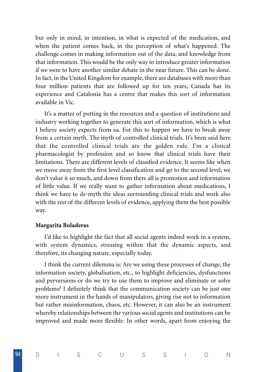but only in mind, in intention, in what is expected of the medication, and when the patient comes back, in the perception of what's happened. The challenge comes in making information out of the data, and knowledge from that information. This would be the only way to introduce greater information if we were to have another similar debate in the near future. This can be done. In fact, in the United Kingdom for example, there are databases with more than four million patients that are followed up for ten years, Canada has its experience and Catalonia has a centre that makes this sort of information available in Vic.

It's a matter of putting in the resources and a question of institutions and industry working together to generate this sort of information, which is what I believe society expects from us. For this to happen we have to break away from a certain myth. The myth of controlled clinical trials. It's been said here that the controlled clinical trials are the golden rule. I'm a clinical pharmacologist by profession and so know that clinical trials have their limitations. There are different levels of classified evidence. It seems like when we move away from the first level classification and go to the second level, we don't value it so much, and down from there all is promotion and information of little value. If we really want to gather information about medications, I think we have to de-myth the ideas surrounding clinical trials and work also with the rest of the different levels of evidence, applying them the best possible way.

#### **Margarita Boladeras**

I'd like to highlight the fact that all social agents indeed work in a system, with system dynamics, stressing within that the dynamic aspects, and therefore, its changing nature, especially today.

I think the current dilemma is: Are we using these processes of change, the information society, globalisation, etc., to highlight deficiencies, dysfunctions and perversions or do we try to use them to improve and eliminate or solve problems? I definitely think that the communication society can be just one more instrument in the hands of manipulators, giving rise not to information but rather misinformation, chaos, etc. However, it can also be an instrument whereby relationships between the various social agents and institutions can be improved and made more flexible. In other words, apart from enjoying the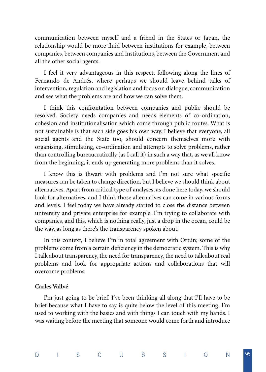communication between myself and a friend in the States or Japan, the relationship would be more fluid between institutions for example, between companies, between companies and institutions, between the Government and all the other social agents.

I feel it very advantageous in this respect, following along the lines of Fernando de Andrés, where perhaps we should leave behind talks of intervention, regulation and legislation and focus on dialogue, communication and see what the problems are and how we can solve them.

I think this confrontation between companies and public should be resolved. Society needs companies and needs elements of co-ordination, cohesion and institutionalisation which come through public routes. What is not sustainable is that each side goes his own way. I believe that everyone, all social agents and the State too, should concern themselves more with organising, stimulating, co-ordination and attempts to solve problems, rather than controlling bureaucratically (as I call it) in such a way that, as we all know from the beginning, it ends up generating more problems than it solves.

I know this is thwart with problems and I'm not sure what specific measures can be taken to change direction, but I believe we should think about alternatives. Apart from critical type of analyses, as done here today, we should look for alternatives, and I think those alternatives can come in various forms and levels. I feel today we have already started to close the distance between university and private enterprise for example. I'm trying to collaborate with companies, and this, which is nothing really, just a drop in the ocean, could be the way, as long as there's the transparency spoken about.

In this context, I believe I'm in total agreement with Ortún; some of the problems come from a certain deficiency in the democratic system. This is why I talk about transparency, the need for transparency, the need to talk about real problems and look for appropriate actions and collaborations that will overcome problems.

## **Carles Vallvé**

I'm just going to be brief. I've been thinking all along that I'll have to be brief because what I have to say is quite below the level of this meeting. I'm used to working with the basics and with things I can touch with my hands. I was waiting before the meeting that someone would come forth and introduce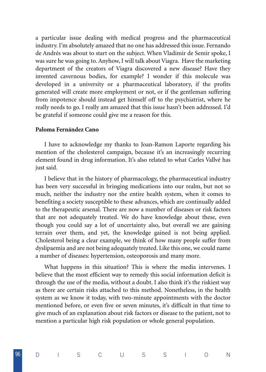a particular issue dealing with medical progress and the pharmaceutical industry. I'm absolutely amazed that no one has addressed this issue. Fernando de Andrés was about to start on the subject. When Vladimir de Semir spoke, I was sure he was going to. Anyhow, I will talk about Viagra. Have the marketing department of the creators of Viagra discovered a new disease? Have they invented cavernous bodies, for example? I wonder if this molecule was developed in a university or a pharmaceutical laboratory, if the profits generated will create more employment or not, or if the gentleman suffering from impotence should instead get himself off to the psychiatrist, where he really needs to go. I really am amazed that this issue hasn't been addressed. I'd be grateful if someone could give me a reason for this.

## **Paloma Fernández Cano**

I have to acknowledge my thanks to Joan-Ramon Laporte regarding his mention of the cholesterol campaign, because it's an increasingly recurring element found in drug information. It's also related to what Carles Vallvé has just said.

I believe that in the history of pharmacology, the pharmaceutical industry has been very successful in bringing medications into our realm, but not so much, neither the industry nor the entire health system, when it comes to benefiting a society susceptible to these advances, which are continually added to the therapeutic arsenal. There are now a number of diseases or risk factors that are not adequately treated. We do have knowledge about these, even though you could say a lot of uncertainty also, but overall we are gaining terrain over them, and yet, the knowledge gained is not being applied. Cholesterol being a clear example, we think of how many people suffer from dyslipaemia and are not being adequately treated. Like this one, we could name a number of diseases: hypertension, osteoporosis and many more.

What happens in this situation? This is where the media intervenes. I believe that the most efficient way to remedy this social information deficit is through the use of the media, without a doubt. I also think it's the riskiest way as there are certain risks attached to this method. Nonetheless, in the health system as we know it today, with two-minute appointments with the doctor mentioned before, or even five or seven minutes, it's difficult in that time to give much of an explanation about risk factors or disease to the patient, not to mention a particular high risk population or whole general population.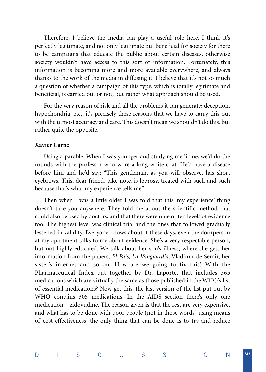Therefore, I believe the media can play a useful role here. I think it's perfectly legitimate, and not only legitimate but beneficial for society for there to be campaigns that educate the public about certain diseases, otherwise society wouldn't have access to this sort of information. Fortunately, this information is becoming more and more available everywhere, and always thanks to the work of the media in diffusing it. I believe that it's not so much a question of whether a campaign of this type, which is totally legitimate and beneficial, is carried out or not, but rather what approach should be used.

For the very reason of risk and all the problems it can generate; deception, hypochondria, etc., it's precisely these reasons that we have to carry this out with the utmost accuracy and care. This doesn't mean we shouldn't do this, but rather quite the opposite.

#### **Xavier Carné**

Using a parable. When I was younger and studying medicine, we'd do the rounds with the professor who wore a long white coat. He'd have a disease before him and he'd say: "This gentleman, as you will observe, has short eyebrows. This, dear friend, take note, is leprosy, treated with such and such because that's what my experience tells me".

Then when I was a little older I was told that this 'my experience' thing doesn't take you anywhere. They told me about the scientific method that could also be used by doctors, and that there were nine or ten levels of evidence too. The highest level was clinical trial and the ones that followed gradually lessened in validity. Everyone knows about it these days, even the doorperson at my apartment talks to me about evidence. She's a very respectable person, but not highly educated. We talk about her son's illness, where she gets her information from the papers, *El País*, *La Vanguardia*, Vladimir de Semir, her sister's internet and so on. How are we going to fix this? With the Pharmaceutical Index put together by Dr. Laporte, that includes 365 medications which are virtually the same as those published in the WHO's list of essential medications? Now get this, the last version of the list put out by WHO contains 305 medications. In the AIDS section there's only one medication – zidovudine. The reason given is that the rest are very expensive, and what has to be done with poor people (not in those words) using means of cost-effectiveness, the only thing that can be done is to try and reduce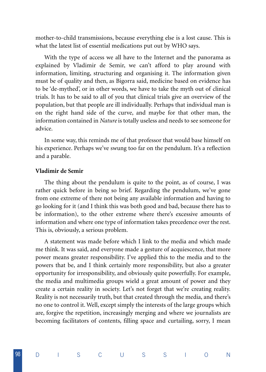mother-to-child transmissions, because everything else is a lost cause. This is what the latest list of essential medications put out by WHO says.

With the type of access we all have to the Internet and the panorama as explained by Vladimir de Semir, we can't afford to play around with information, limiting, structuring and organising it. The information given must be of quality and then, as Bigorra said, medicine based on evidence has to be 'de-mythed', or in other words, we have to take the myth out of clinical trials. It has to be said to all of you that clinical trials give an overview of the population, but that people are ill individually. Perhaps that individual man is on the right hand side of the curve, and maybe for that other man, the information contained in *Nature* is totally useless and needs to see someone for advice.

In some way, this reminds me of that professor that would base himself on his experience. Perhaps we've swung too far on the pendulum. It's a reflection and a parable.

## **Vladimir de Semir**

The thing about the pendulum is quite to the point, as of course, I was rather quick before in being so brief. Regarding the pendulum, we've gone from one extreme of there not being any available information and having to go looking for it (and I think this was both good and bad, because there has to be information), to the other extreme where there's excessive amounts of information and where one type of information takes precedence over the rest. This is, obviously, a serious problem.

A statement was made before which I link to the media and which made me think. It was said, and everyone made a gesture of acquiescence, that more power means greater responsibility. I've applied this to the media and to the powers that be, and I think certainly more responsibility, but also a greater opportunity for irresponsibility, and obviously quite powerfully. For example, the media and multimedia groups wield a great amount of power and they create a certain reality in society. Let's not forget that we're creating reality. Reality is not necessarily truth, but that created through the media, and there's no one to control it. Well, except simply the interests of the large groups which are, forgive the repetition, increasingly merging and where we journalists are becoming facilitators of contents, filling space and curtailing, sorry, I mean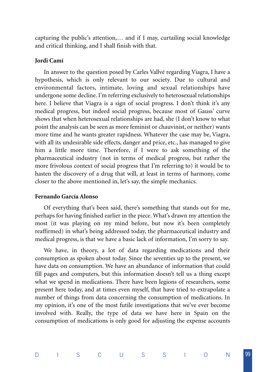capturing the public's attention,… and if I may, curtailing social knowledge and critical thinking, and I shall finish with that.

#### **Jordi Camí**

In answer to the question posed by Carles Vallvé regarding Viagra, I have a hypothesis, which is only relevant to our society. Due to cultural and environmental factors, intimate, loving and sexual relationships have undergone some decline. I'm referring exclusively to heterosexual relationships here. I believe that Viagra is a sign of social progress. I don't think it's any medical progress, but indeed social progress, because most of Gauss' curve shows that when heterosexual relationships are had, she (I don't know to what point the analysis can be seen as more feminist or chauvinist, or neither) wants more time and he wants greater rapidness. Whatever the case may be, Viagra, with all its undesirable side effects, danger and price, etc., has managed to give him a little more time. Therefore, if I were to ask something of the pharmaceutical industry (not in terms of medical progress, but rather the more frivolous context of social progress that I'm referring to) it would be to hasten the discovery of a drug that will, at least in terms of harmony, come closer to the above mentioned in, let's say, the simple mechanics.

#### **Fernando García Alonso**

Of everything that's been said, there's something that stands out for me, perhaps for having finished earlier in the piece. What's drawn my attention the most (it was playing on my mind before, but now it's been completely reaffirmed) in what's being addressed today, the pharmaceutical industry and medical progress, is that we have a basic lack of information, I'm sorry to say.

We have, in theory, a lot of data regarding medications and their consumption as spoken about today. Since the seventies up to the present, we have data on consumption. We have an abundance of information that could fill pages and computers, but this information doesn't tell us a thing except what we spend in medications. There have been legions of researchers, some present here today, and at times even myself, that have tried to extrapolate a number of things from data concerning the consumption of medications. In my opinion, it's one of the most futile investigations that we've ever become involved with. Really, the type of data we have here in Spain on the consumption of medications is only good for adjusting the expense accounts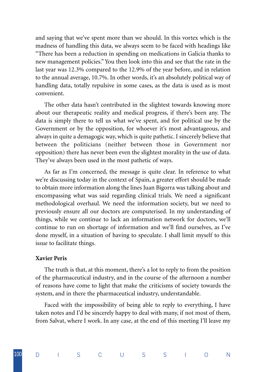and saying that we've spent more than we should. In this vortex which is the madness of handling this data, we always seem to be faced with headings like "There has been a reduction in spending on medications in Galicia thanks to new management policies." You then look into this and see that the rate in the last year was 12.3% compared to the 12.9% of the year before, and in relation to the annual average, 10.7%. In other words, it's an absolutely political way of handling data, totally repulsive in some cases, as the data is used as is most convenient.

The other data hasn't contributed in the slightest towards knowing more about our therapeutic reality and medical progress, if there's been any. The data is simply there to tell us what we've spent, and for political use by the Government or by the opposition, for whoever it's most advantageous, and always in quite a demagogic way, which is quite pathetic. I sincerely believe that between the politicians (neither between those in Government nor opposition) there has never been even the slightest morality in the use of data. They've always been used in the most pathetic of ways.

As far as I'm concerned, the message is quite clear. In reference to what we're discussing today in the context of Spain, a greater effort should be made to obtain more information along the lines Juan Bigorra was talking about and encompassing what was said regarding clinical trials. We need a significant methodological overhaul. We need the information society, but we need to previously ensure all our doctors are computerised. In my understanding of things, while we continue to lack an information network for doctors, we'll continue to run on shortage of information and we'll find ourselves, as I've done myself, in a situation of having to speculate. I shall limit myself to this issue to facilitate things.

## **Xavier Peris**

The truth is that, at this moment, there's a lot to reply to from the position of the pharmaceutical industry, and in the course of the afternoon a number of reasons have come to light that make the criticisms of society towards the system, and in there the pharmaceutical industry, understandable.

Faced with the impossibility of being able to reply to everything, I have taken notes and I'd be sincerely happy to deal with many, if not most of them, from Salvat, where I work. In any case, at the end of this meeting I'll leave my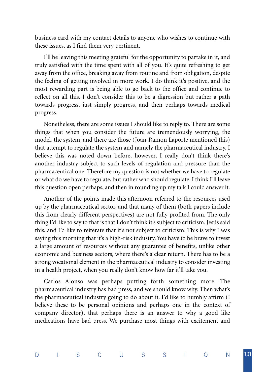business card with my contact details to anyone who wishes to continue with these issues, as I find them very pertinent.

I'll be leaving this meeting grateful for the opportunity to partake in it, and truly satisfied with the time spent with all of you. It's quite refreshing to get away from the office, breaking away from routine and from obligation, despite the feeling of getting involved in more work. I do think it's positive, and the most rewarding part is being able to go back to the office and continue to reflect on all this. I don't consider this to be a digression but rather a path towards progress, just simply progress, and then perhaps towards medical progress.

Nonetheless, there are some issues I should like to reply to. There are some things that when you consider the future are tremendously worrying, the model, the system, and there are those (Joan-Ramon Laporte mentioned this) that attempt to regulate the system and namely the pharmaceutical industry. I believe this was noted down before, however, I really don't think there's another industry subject to such levels of regulation and pressure than the pharmaceutical one. Therefore my question is not whether we have to regulate or what do we have to regulate, but rather who should regulate. I think I'll leave this question open perhaps, and then in rounding up my talk I could answer it.

Another of the points made this afternoon referred to the resources used up by the pharmaceutical sector, and that many of them (both papers include this from clearly different perspectives) are not fully profited from. The only thing I'd like to say to that is that I don't think it's subject to criticism. Jesús said this, and I'd like to reiterate that it's not subject to criticism. This is why I was saying this morning that it's a high-risk industry. You have to be brave to invest a large amount of resources without any guarantee of benefits, unlike other economic and business sectors, where there's a clear return. There has to be a strong vocational element in the pharmaceutical industry to consider investing in a health project, when you really don't know how far it'll take you.

Carlos Alonso was perhaps putting forth something more. The pharmaceutical industry has bad press, and we should know why. Then what's the pharmaceutical industry going to do about it. I'd like to humbly affirm (I believe these to be personal opinions and perhaps one in the context of company director), that perhaps there is an answer to why a good like medications have bad press. We purchase most things with excitement and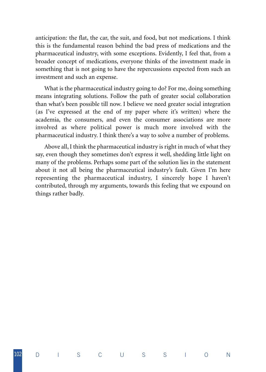anticipation: the flat, the car, the suit, and food, but not medications. I think this is the fundamental reason behind the bad press of medications and the pharmaceutical industry, with some exceptions. Evidently, I feel that, from a broader concept of medications, everyone thinks of the investment made in something that is not going to have the repercussions expected from such an investment and such an expense.

What is the pharmaceutical industry going to do? For me, doing something means integrating solutions. Follow the path of greater social collaboration than what's been possible till now. I believe we need greater social integration (as I've expressed at the end of my paper where it's written) where the academia, the consumers, and even the consumer associations are more involved as where political power is much more involved with the pharmaceutical industry. I think there's a way to solve a number of problems.

Above all, I think the pharmaceutical industry is right in much of what they say, even though they sometimes don't express it well, shedding little light on many of the problems. Perhaps some part of the solution lies in the statement about it not all being the pharmaceutical industry's fault. Given I'm here representing the pharmaceutical industry, I sincerely hope I haven't contributed, through my arguments, towards this feeling that we expound on things rather badly.

102 DISCUSSION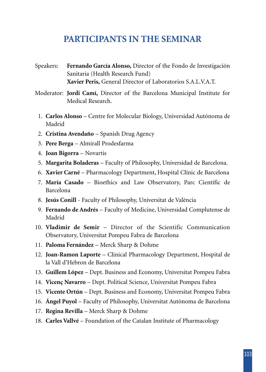## **PARTICIPANTS IN THE SEMINAR**

- Speakers: **Fernando García Alonso,** Director of the Fondo de Investigación Sanitaria (Health Research Fund) **Xavier Peris,** General Director of Laboratorios S.A.L.V.A.T.
- Moderator: **Jordi Camí,** Director of the Barcelona Municipal Institute for Medical Research.
	- 1. **Carlos Alonso** Centre for Molecular Biology, Universidad Autónoma de Madrid
	- 2. **Cristina Avendaño** Spanish Drug Agency
	- 3. **Pere Berga** Almirall Prodesfarma
	- 4. **Joan Bigorra** Novartis
	- 5. **Margarita Boladeras** Faculty of Philosophy, Universidad de Barcelona.
	- 6. **Xavier Carné** Pharmacology Department, Hospital Clínic de Barcelona
	- 7. **María Casado** Bioethics and Law Observatory, Parc Científic de Barcelona
	- 8. **Jesús Conill** Faculty of Philosophy, Universitat de València
	- 9. **Fernando de Andrés** Faculty of Medicine, Universidad Complutense de Madrid
- 10. **Vladimir de Semir** Director of the Scientific Communication Observatory, Universitat Pompeu Fabra de Barcelona
- 11. **Paloma Fernández** Merck Sharp & Dohme
- 12. **Joan-Ramon Laporte** Clinical Pharmacology Department, Hospital de la Vall d'Hebron de Barcelona
- 13. **Guillem López** Dept. Business and Economy, Universitat Pompeu Fabra
- 14. **Vicenç Navarro** Dept. Political Science, Universitat Pompeu Fabra
- 15. **Vicente Ortún** Dept. Business and Economy, Universitat Pompeu Fabra
- 16. **Ángel Puyol** Faculty of Philosophy, Universitat Autònoma de Barcelona
- 17. **Regina Revilla** Merck Sharp & Dohme
- 18. **Carles Vallvé** Foundation of the Catalan Institute of Pharmacology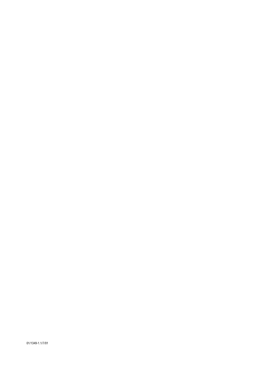01/1349-1.1/7/01